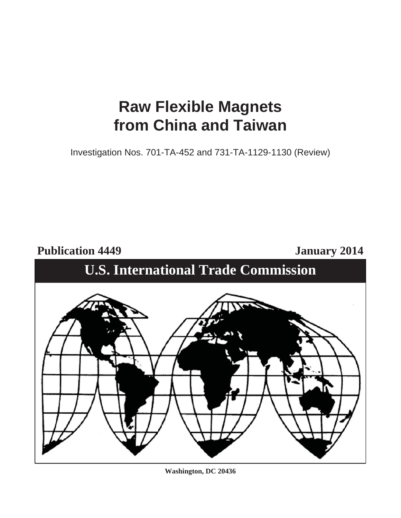# **Raw Flexible Magnets from China and Taiwan**

Investigation Nos. 701-TA-452 and 731-TA-1129-1130 (Review)

Publication 4449 January 2014

# **U.S. International Trade Commission**



**Washington, DC 20436**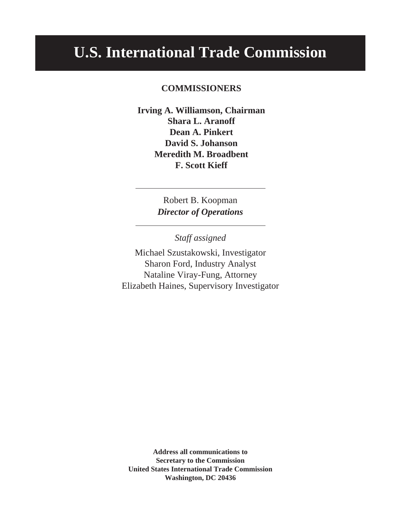# **U.S. International Trade Commission**

# **COMMISSIONERS**

**Irving A. Williamson, Chairman Shara L. Aranoff Dean A. Pinkert David S. Johanson Meredith M. Broadbent F. Scott Kieff**

> Robert B. Koopman *Director of Operations*

> > *Staff assigned*

Michael Szustakowski, Investigator Sharon Ford, Industry Analyst Nataline Viray-Fung, Attorney Elizabeth Haines, Supervisory Investigator

**Address all communications to Secretary to the Commission United States International Trade Commission Washington, DC 20436**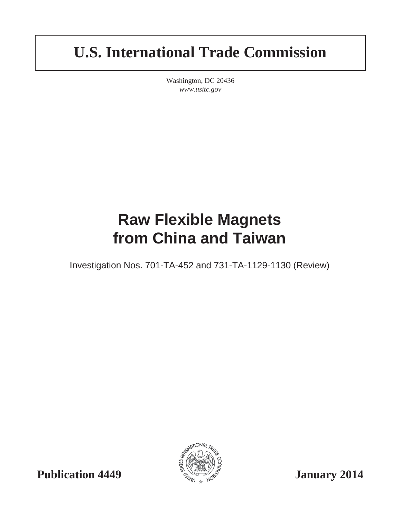# **U.S. International Trade Commission**

Washington, DC 20436 *www.usitc.gov*

# **Raw Flexible Magnets from China and Taiwan**

Investigation Nos. 701-TA-452 and 731-TA-1129-1130 (Review)

ATIONAL

**Publication 4449**  $\frac{1}{2}$   $\frac{1}{2}$   $\frac{1}{2}$   $\frac{1}{2}$   $\frac{1}{2}$   $\frac{1}{2}$   $\frac{1}{2}$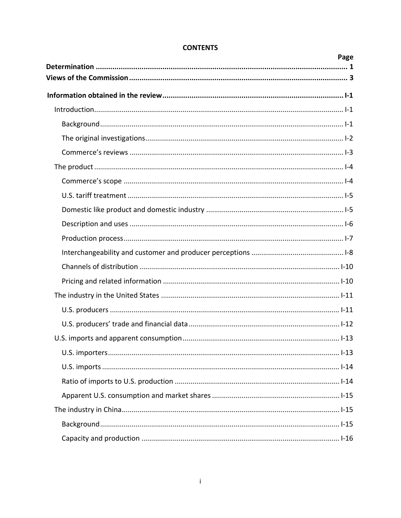| Page |
|------|
|      |
|      |
|      |
|      |
|      |
|      |
|      |
|      |
|      |
|      |
|      |
|      |
|      |
|      |
|      |
|      |
|      |
|      |
|      |
|      |
|      |
|      |
|      |
|      |
|      |
|      |

# **CONTENTS**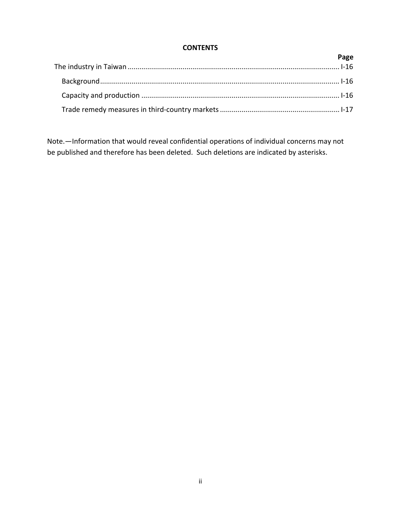# **CONTENTS**

| Page |
|------|
|      |
|      |
|      |
|      |

Note.—Information that would reveal confidential operations of individual concerns may not be published and therefore has been deleted. Such deletions are indicated by asterisks.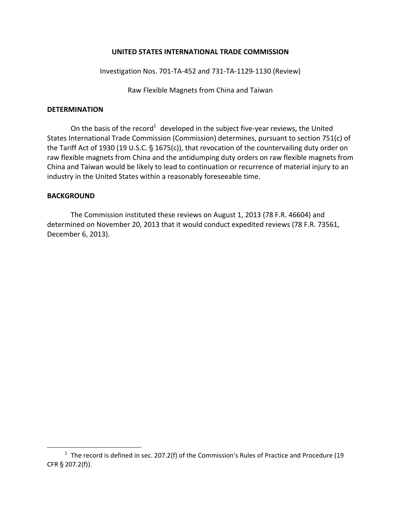## **UNITED STATES INTERNATIONAL TRADE COMMISSION**

Investigation Nos. 701‐TA‐452 and 731‐TA‐1129‐1130 (Review)

Raw Flexible Magnets from China and Taiwan

### **DETERMINATION**

On the basis of the record<sup>1</sup> developed in the subject five-year reviews, the United States International Trade Commission (Commission) determines, pursuant to section 751(c) of the Tariff Act of 1930 (19 U.S.C.  $\S$  1675(c)), that revocation of the countervailing duty order on raw flexible magnets from China and the antidumping duty orders on raw flexible magnets from China and Taiwan would be likely to lead to continuation or recurrence of material injury to an industry in the United States within a reasonably foreseeable time.

## **BACKGROUND**

 $\overline{a}$ 

The Commission instituted these reviews on August 1, 2013 (78 F.R. 46604) and determined on November 20, 2013 that it would conduct expedited reviews (78 F.R. 73561, December 6, 2013).

 $1$  The record is defined in sec. 207.2(f) of the Commission's Rules of Practice and Procedure (19 CFR § 207.2(f)).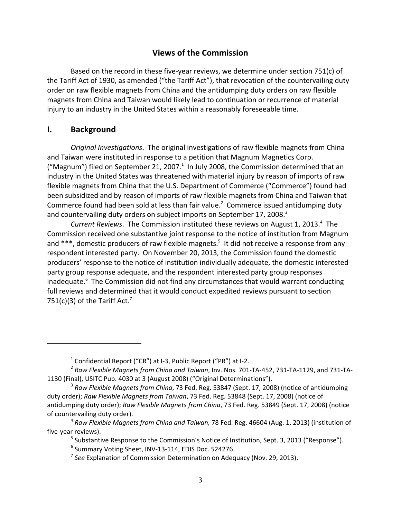# **Views of the Commission**

Based on the record in these five-year reviews, we determine under section 751 $(c)$  of the Tariff Act of 1930, as amended ("the Tariff Act"), that revocation of the countervailing duty order on raw flexible magnets from China and the antidumping duty orders on raw flexible magnets from China and Taiwan would likely lead to continuation or recurrence of material injury to an industry in the United States within a reasonably foreseeable time.

# **I. Background**

*Original Investigations*. The original investigations of raw flexible magnets from China and Taiwan were instituted in response to a petition that Magnum Magnetics Corp. ("Magnum") filed on September 21, 2007. $^1$  In July 2008, the Commission determined that an industry in the United States was threatened with material injury by reason of imports of raw flexible magnets from China that the U.S. Department of Commerce ("Commerce") found had been subsidized and by reason of imports of raw flexible magnets from China and Taiwan that Commerce found had been sold at less than fair value. $^2$  Commerce issued antidumping duty and countervailing duty orders on subject imports on September 17, 2008.<sup>3</sup>

Current Reviews. The Commission instituted these reviews on August 1, 2013.<sup>4</sup> The Commission received one substantive joint response to the notice of institution from Magnum and \*\*\*, domestic producers of raw flexible magnets.<sup>5</sup> It did not receive a response from any respondent interested party. On November 20, 2013, the Commission found the domestic producers' response to the notice of institution individually adequate, the domestic interested party group response adequate, and the respondent interested party group responses inadequate.<sup>6</sup> The Commission did not find any circumstances that would warrant conducting full reviews and determined that it would conduct expedited reviews pursuant to section 751(c)(3) of the Tariff Act.<sup>7</sup>

 $1$  Confidential Report ("CR") at I-3, Public Report ("PR") at I-2.

<sup>2</sup> *Raw Flexible Magnets from China and Taiwan*, Inv. Nos. 701‐TA‐452, 731‐TA‐1129, and 731‐TA‐ 1130 (Final), USITC Pub. 4030 at 3 (August 2008) ("Original Determinations").

<sup>3</sup> *Raw Flexible Magnets from China*, 73 Fed. Reg. 53847 (Sept. 17, 2008) (notice of antidumping duty order); *Raw Flexible Magnets from Taiwan*, 73 Fed. Reg. 53848 (Sept. 17, 2008) (notice of antidumping duty order); *Raw Flexible Magnets from China*, 73 Fed. Reg. 53849 (Sept. 17, 2008) (notice of countervailing duty order).

<sup>4</sup> *Raw Flexible Magnets from China and Taiwan,* 78 Fed. Reg. 46604 (Aug. 1, 2013) (institution of five‐year reviews).

 $<sup>5</sup>$  Substantive Response to the Commission's Notice of Institution, Sept. 3, 2013 ("Response").</sup>

<sup>6</sup> Summary Voting Sheet, INV‐13‐114, EDIS Doc. 524276.

<sup>7</sup> *See* Explanation of Commission Determination on Adequacy (Nov. 29, 2013).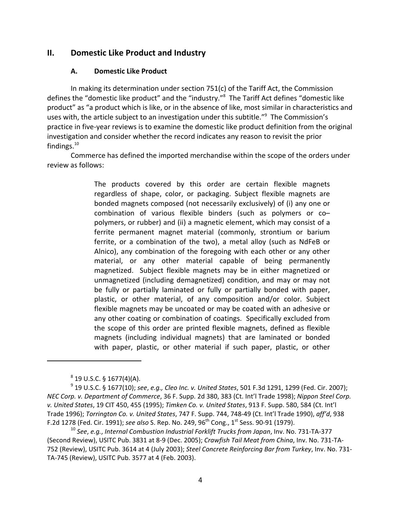## **II. Domestic Like Product and Industry**

#### **A. Domestic Like Product**

In making its determination under section 751(c) of the Tariff Act, the Commission defines the "domestic like product" and the "industry."<sup>8</sup> The Tariff Act defines "domestic like product" as "a product which is like, or in the absence of like, most similar in characteristics and uses with, the article subject to an investigation under this subtitle."<sup>9</sup> The Commission's practice in five‐year reviews is to examine the domestic like product definition from the original investigation and consider whether the record indicates any reason to revisit the prior findings. $10<sup>10</sup>$ 

Commerce has defined the imported merchandise within the scope of the orders under review as follows:

> The products covered by this order are certain flexible magnets regardless of shape, color, or packaging. Subject flexible magnets are bonded magnets composed (not necessarily exclusively) of (i) any one or combination of various flexible binders (such as polymers or co– polymers, or rubber) and (ii) a magnetic element, which may consist of a ferrite permanent magnet material (commonly, strontium or barium ferrite, or a combination of the two), a metal alloy (such as NdFeB or Alnico), any combination of the foregoing with each other or any other material, or any other material capable of being permanently magnetized. Subject flexible magnets may be in either magnetized or unmagnetized (including demagnetized) condition, and may or may not be fully or partially laminated or fully or partially bonded with paper, plastic, or other material, of any composition and/or color. Subject flexible magnets may be uncoated or may be coated with an adhesive or any other coating or combination of coatings. Specifically excluded from the scope of this order are printed flexible magnets, defined as flexible magnets (including individual magnets) that are laminated or bonded with paper, plastic, or other material if such paper, plastic, or other

 $8$  19 U.S.C. § 1677(4)(A).

<sup>9</sup> 19 U.S.C. § 1677(10); *see*, *e.g., Cleo Inc. v. United States*, 501 F.3d 1291, 1299 (Fed. Cir. 2007); *NEC Corp. v. Department of Commerce*, 36 F. Supp. 2d 380, 383 (Ct. Int'l Trade 1998); *Nippon Steel Corp. v. United States*, 19 CIT 450, 455 (1995); *Timken Co. v. United States*, 913 F. Supp. 580, 584 (Ct. Int'l Trade 1996); *Torrington Co. v. United States*, 747 F. Supp. 744, 748‐49 (Ct. Int'l Trade 1990), *aff'd*, 938 F.2d 1278 (Fed. Cir. 1991); *see also* S. Rep. No. 249, 96th Cong., 1st Sess. 90‐91 (1979).

<sup>10</sup> *See*, *e.g.*, *Internal Combustion Industrial Forklift Trucks from Japan*, Inv. No. 731‐TA‐377 (Second Review), USITC Pub. 3831 at 8‐9 (Dec. 2005); *Crawfish Tail Meat from China*, Inv. No. 731‐TA‐ 752 (Review), USITC Pub. 3614 at 4 (July 2003); *Steel Concrete Reinforcing Bar from Turkey*, Inv. No. 731‐ TA‐745 (Review), USITC Pub. 3577 at 4 (Feb. 2003).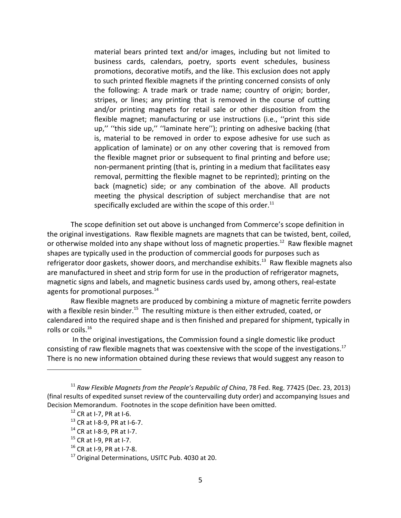material bears printed text and/or images, including but not limited to business cards, calendars, poetry, sports event schedules, business promotions, decorative motifs, and the like. This exclusion does not apply to such printed flexible magnets if the printing concerned consists of only the following: A trade mark or trade name; country of origin; border, stripes, or lines; any printing that is removed in the course of cutting and/or printing magnets for retail sale or other disposition from the flexible magnet; manufacturing or use instructions (i.e., ''print this side up,'' ''this side up,'' ''laminate here''); printing on adhesive backing (that is, material to be removed in order to expose adhesive for use such as application of laminate) or on any other covering that is removed from the flexible magnet prior or subsequent to final printing and before use; non‐permanent printing (that is, printing in a medium that facilitates easy removal, permitting the flexible magnet to be reprinted); printing on the back (magnetic) side; or any combination of the above. All products meeting the physical description of subject merchandise that are not specifically excluded are within the scope of this order.<sup>11</sup>

The scope definition set out above is unchanged from Commerce's scope definition in the original investigations. Raw flexible magnets are magnets that can be twisted, bent, coiled, or otherwise molded into any shape without loss of magnetic properties.<sup>12</sup> Raw flexible magnet shapes are typically used in the production of commercial goods for purposes such as refrigerator door gaskets, shower doors, and merchandise exhibits.<sup>13</sup> Raw flexible magnets also are manufactured in sheet and strip form for use in the production of refrigerator magnets, magnetic signs and labels, and magnetic business cards used by, among others, real‐estate agents for promotional purposes.<sup>14</sup>

Raw flexible magnets are produced by combining a mixture of magnetic ferrite powders with a flexible resin binder.<sup>15</sup> The resulting mixture is then either extruded, coated, or calendared into the required shape and is then finished and prepared for shipment, typically in rolls or coils.<sup>16</sup>

In the original investigations, the Commission found a single domestic like product consisting of raw flexible magnets that was coextensive with the scope of the investigations.<sup>17</sup> There is no new information obtained during these reviews that would suggest any reason to

<sup>11</sup> *Raw Flexible Magnets from the People's Republic of China*, 78 Fed. Reg. 77425 (Dec. 23, 2013) (final results of expedited sunset review of the countervailing duty order) and accompanying Issues and Decision Memorandum. Footnotes in the scope definition have been omitted.

 $12$  CR at I-7, PR at I-6.

<sup>13</sup> CR at I‐8‐9, PR at I‐6‐7.

<sup>14</sup> CR at I‐8‐9, PR at I‐7.

 $15$  CR at I-9, PR at I-7.

<sup>16</sup> CR at I‐9, PR at I‐7‐8.

<sup>&</sup>lt;sup>17</sup> Original Determinations, USITC Pub. 4030 at 20.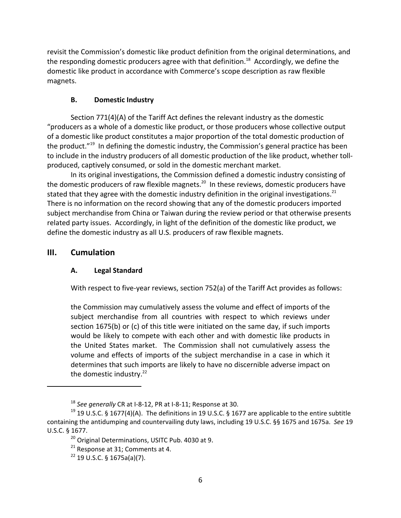revisit the Commission's domestic like product definition from the original determinations, and the responding domestic producers agree with that definition.<sup>18</sup> Accordingly, we define the domestic like product in accordance with Commerce's scope description as raw flexible magnets.

# **B. Domestic Industry**

Section 771(4)(A) of the Tariff Act defines the relevant industry as the domestic "producers as a whole of a domestic like product, or those producers whose collective output of a domestic like product constitutes a major proportion of the total domestic production of the product."<sup>19</sup> In defining the domestic industry, the Commission's general practice has been to include in the industry producers of all domestic production of the like product, whether toll‐ produced, captively consumed, or sold in the domestic merchant market.

In its original investigations, the Commission defined a domestic industry consisting of the domestic producers of raw flexible magnets.<sup>20</sup> In these reviews, domestic producers have stated that they agree with the domestic industry definition in the original investigations.<sup>21</sup> There is no information on the record showing that any of the domestic producers imported subject merchandise from China or Taiwan during the review period or that otherwise presents related party issues. Accordingly, in light of the definition of the domestic like product, we define the domestic industry as all U.S. producers of raw flexible magnets.

# **III. Cumulation**

# **A. Legal Standard**

With respect to five-year reviews, section 752(a) of the Tariff Act provides as follows:

the Commission may cumulatively assess the volume and effect of imports of the subject merchandise from all countries with respect to which reviews under section 1675(b) or (c) of this title were initiated on the same day, if such imports would be likely to compete with each other and with domestic like products in the United States market. The Commission shall not cumulatively assess the volume and effects of imports of the subject merchandise in a case in which it determines that such imports are likely to have no discernible adverse impact on the domestic industry.<sup>22</sup>

<sup>18</sup> *See generally* CR at I‐8‐12, PR at I‐8‐11; Response at 30.

<sup>&</sup>lt;sup>19</sup> 19 U.S.C. § 1677(4)(A). The definitions in 19 U.S.C. § 1677 are applicable to the entire subtitle containing the antidumping and countervailing duty laws, including 19 U.S.C. §§ 1675 and 1675a. *See* 19 U.S.C. § 1677.

<sup>&</sup>lt;sup>20</sup> Original Determinations, USITC Pub. 4030 at 9.

<sup>&</sup>lt;sup>21</sup> Response at 31; Comments at 4.

 $22$  19 U.S.C. § 1675a(a)(7).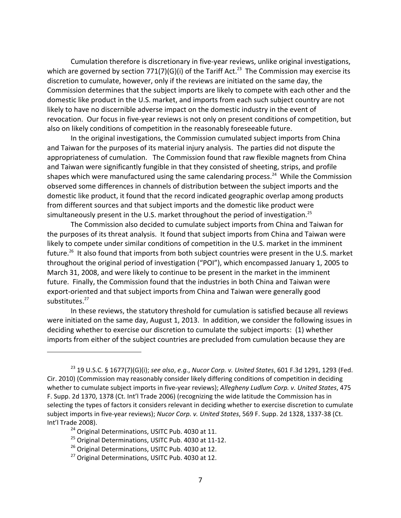Cumulation therefore is discretionary in five‐year reviews, unlike original investigations, which are governed by section 771(7)(G)(i) of the Tariff Act.<sup>23</sup> The Commission may exercise its discretion to cumulate, however, only if the reviews are initiated on the same day, the Commission determines that the subject imports are likely to compete with each other and the domestic like product in the U.S. market, and imports from each such subject country are not likely to have no discernible adverse impact on the domestic industry in the event of revocation. Our focus in five‐year reviews is not only on present conditions of competition, but also on likely conditions of competition in the reasonably foreseeable future.

In the original investigations, the Commission cumulated subject imports from China and Taiwan for the purposes of its material injury analysis. The parties did not dispute the appropriateness of cumulation. The Commission found that raw flexible magnets from China and Taiwan were significantly fungible in that they consisted of sheeting, strips, and profile shapes which were manufactured using the same calendaring process.<sup>24</sup> While the Commission observed some differences in channels of distribution between the subject imports and the domestic like product, it found that the record indicated geographic overlap among products from different sources and that subject imports and the domestic like product were simultaneously present in the U.S. market throughout the period of investigation.<sup>25</sup>

The Commission also decided to cumulate subject imports from China and Taiwan for the purposes of its threat analysis. It found that subject imports from China and Taiwan were likely to compete under similar conditions of competition in the U.S. market in the imminent future.<sup>26</sup> It also found that imports from both subject countries were present in the U.S. market throughout the original period of investigation ("POI"), which encompassed January 1, 2005 to March 31, 2008, and were likely to continue to be present in the market in the imminent future. Finally, the Commission found that the industries in both China and Taiwan were export-oriented and that subject imports from China and Taiwan were generally good substitutes.<sup>27</sup>

In these reviews, the statutory threshold for cumulation is satisfied because all reviews were initiated on the same day, August 1, 2013. In addition, we consider the following issues in deciding whether to exercise our discretion to cumulate the subject imports: (1) whether imports from either of the subject countries are precluded from cumulation because they are

<sup>23</sup> 19 U.S.C. § 1677(7)(G)(i); *see also*, *e.g.*, *Nucor Corp. v. United States*, 601 F.3d 1291, 1293 (Fed. Cir. 2010) (Commission may reasonably consider likely differing conditions of competition in deciding whether to cumulate subject imports in five‐year reviews); *Allegheny Ludlum Corp. v. United States*, 475 F. Supp. 2d 1370, 1378 (Ct. Int'l Trade 2006) (recognizing the wide latitude the Commission has in selecting the types of factors it considers relevant in deciding whether to exercise discretion to cumulate subject imports in five‐year reviews); *Nucor Corp. v. United States*, 569 F. Supp. 2d 1328, 1337‐38 (Ct. Int'l Trade 2008).

<sup>&</sup>lt;sup>24</sup> Original Determinations, USITC Pub. 4030 at 11.

<sup>&</sup>lt;sup>25</sup> Original Determinations, USITC Pub. 4030 at 11-12.

<sup>&</sup>lt;sup>26</sup> Original Determinations, USITC Pub. 4030 at 12.

<sup>&</sup>lt;sup>27</sup> Original Determinations, USITC Pub. 4030 at 12.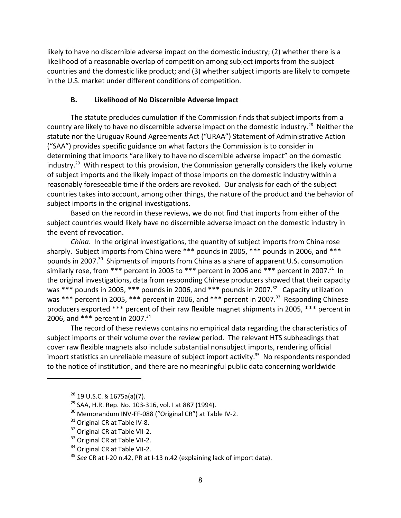likely to have no discernible adverse impact on the domestic industry; (2) whether there is a likelihood of a reasonable overlap of competition among subject imports from the subject countries and the domestic like product; and (3) whether subject imports are likely to compete in the U.S. market under different conditions of competition.

## **B. Likelihood of No Discernible Adverse Impact**

The statute precludes cumulation if the Commission finds that subject imports from a country are likely to have no discernible adverse impact on the domestic industry.<sup>28</sup> Neither the statute nor the Uruguay Round Agreements Act ("URAA") Statement of Administrative Action ("SAA") provides specific guidance on what factors the Commission is to consider in determining that imports "are likely to have no discernible adverse impact" on the domestic industry.<sup>29</sup> With respect to this provision, the Commission generally considers the likely volume of subject imports and the likely impact of those imports on the domestic industry within a reasonably foreseeable time if the orders are revoked. Our analysis for each of the subject countries takes into account, among other things, the nature of the product and the behavior of subject imports in the original investigations.

Based on the record in these reviews, we do not find that imports from either of the subject countries would likely have no discernible adverse impact on the domestic industry in the event of revocation.

*China*. In the original investigations, the quantity of subject imports from China rose sharply. Subject imports from China were \*\*\* pounds in 2005, \*\*\* pounds in 2006, and \*\*\* pounds in 2007.<sup>30</sup> Shipments of imports from China as a share of apparent U.S. consumption similarly rose, from \*\*\* percent in 2005 to \*\*\* percent in 2006 and \*\*\* percent in 2007.<sup>31</sup> In the original investigations, data from responding Chinese producers showed that their capacity was \*\*\* pounds in 2005, \*\*\* pounds in 2006, and \*\*\* pounds in 2007.<sup>32</sup> Capacity utilization was \*\*\* percent in 2005, \*\*\* percent in 2006, and \*\*\* percent in 2007.<sup>33</sup> Responding Chinese producers exported \*\*\* percent of their raw flexible magnet shipments in 2005, \*\*\* percent in 2006, and \*\*\* percent in 2007.<sup>34</sup>

The record of these reviews contains no empirical data regarding the characteristics of subject imports or their volume over the review period. The relevant HTS subheadings that cover raw flexible magnets also include substantial nonsubject imports, rendering official import statistics an unreliable measure of subject import activity.<sup>35</sup> No respondents responded to the notice of institution, and there are no meaningful public data concerning worldwide

 $28$  19 U.S.C. § 1675a(a)(7).

<sup>&</sup>lt;sup>29</sup> SAA, H.R. Rep. No. 103-316, vol. I at 887 (1994).

<sup>&</sup>lt;sup>30</sup> Memorandum INV-FF-088 ("Original CR") at Table IV-2.

 $31$  Original CR at Table IV-8.

<sup>&</sup>lt;sup>32</sup> Original CR at Table VII-2.

<sup>&</sup>lt;sup>33</sup> Original CR at Table VII-2.

<sup>34</sup> Original CR at Table VII-2.

<sup>35</sup> *See* CR at I‐20 n.42, PR at I‐13 n.42 (explaining lack of import data).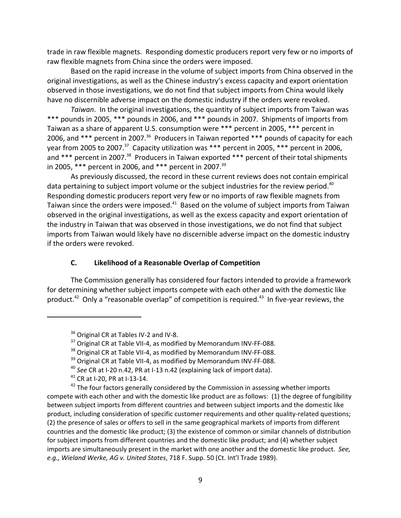trade in raw flexible magnets. Responding domestic producers report very few or no imports of raw flexible magnets from China since the orders were imposed.

Based on the rapid increase in the volume of subject imports from China observed in the original investigations, as well as the Chinese industry's excess capacity and export orientation observed in those investigations, we do not find that subject imports from China would likely have no discernible adverse impact on the domestic industry if the orders were revoked.

*Taiwan*. In the original investigations, the quantity of subject imports from Taiwan was \*\*\* pounds in 2005, \*\*\* pounds in 2006, and \*\*\* pounds in 2007. Shipments of imports from Taiwan as a share of apparent U.S. consumption were \*\*\* percent in 2005, \*\*\* percent in 2006, and \*\*\* percent in 2007.<sup>36</sup> Producers in Taiwan reported \*\*\* pounds of capacity for each year from 2005 to 2007.<sup>37</sup> Capacity utilization was \*\*\* percent in 2005, \*\*\* percent in 2006, and \*\*\* percent in 2007.<sup>38</sup> Producers in Taiwan exported \*\*\* percent of their total shipments in 2005, \*\*\* percent in 2006, and \*\*\* percent in 2007.<sup>39</sup>

As previously discussed, the record in these current reviews does not contain empirical data pertaining to subject import volume or the subject industries for the review period.<sup>40</sup> Responding domestic producers report very few or no imports of raw flexible magnets from Taiwan since the orders were imposed.<sup>41</sup> Based on the volume of subject imports from Taiwan observed in the original investigations, as well as the excess capacity and export orientation of the industry in Taiwan that was observed in those investigations, we do not find that subject imports from Taiwan would likely have no discernible adverse impact on the domestic industry if the orders were revoked.

## **C. Likelihood of a Reasonable Overlap of Competition**

The Commission generally has considered four factors intended to provide a framework for determining whether subject imports compete with each other and with the domestic like product.<sup>42</sup> Only a "reasonable overlap" of competition is required.<sup>43</sup> In five-year reviews, the

<sup>&</sup>lt;sup>36</sup> Original CR at Tables IV-2 and IV-8.

 $37$  Original CR at Table VII-4, as modified by Memorandum INV-FF-088.

<sup>&</sup>lt;sup>38</sup> Original CR at Table VII-4, as modified by Memorandum INV-FF-088.

<sup>&</sup>lt;sup>39</sup> Original CR at Table VII-4, as modified by Memorandum INV-FF-088.

<sup>40</sup> *See* CR at I‐20 n.42, PR at I‐13 n.42 (explaining lack of import data).

<sup>41</sup> CR at I‐20, PR at I‐13‐14.

<sup>&</sup>lt;sup>42</sup> The four factors generally considered by the Commission in assessing whether imports compete with each other and with the domestic like product are as follows: (1) the degree of fungibility between subject imports from different countries and between subject imports and the domestic like product, including consideration of specific customer requirements and other quality-related questions; (2) the presence of sales or offers to sell in the same geographical markets of imports from different countries and the domestic like product; (3) the existence of common or similar channels of distribution for subject imports from different countries and the domestic like product; and (4) whether subject imports are simultaneously present in the market with one another and the domestic like product. *See, e.g., Wieland Werke, AG v. United States*, 718 F. Supp. 50 (Ct. Int'l Trade 1989).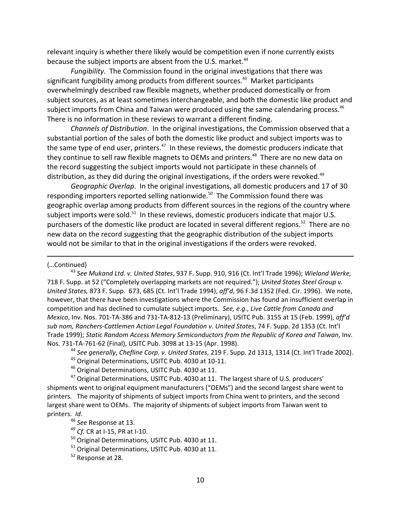relevant inquiry is whether there likely would be competition even if none currently exists because the subject imports are absent from the U.S. market.<sup>44</sup>

*Fungibility*. The Commission found in the original investigations that there was significant fungibility among products from different sources.<sup>45</sup> Market participants overwhelmingly described raw flexible magnets, whether produced domestically or from subject sources, as at least sometimes interchangeable, and both the domestic like product and subject imports from China and Taiwan were produced using the same calendaring process.<sup>46</sup> There is no information in these reviews to warrant a different finding.

*Channels of Distribution*. In the original investigations, the Commission observed that a substantial portion of the sales of both the domestic like product and subject imports was to the same type of end user, printers. $47$  In these reviews, the domestic producers indicate that they continue to sell raw flexible magnets to OEMs and printers.<sup>48</sup> There are no new data on the record suggesting the subject imports would not participate in these channels of distribution, as they did during the original investigations, if the orders were revoked.<sup>49</sup>

*Geographic Overlap*. In the original investigations, all domestic producers and 17 of 30 responding importers reported selling nationwide.<sup>50</sup> The Commission found there was geographic overlap among products from different sources in the regions of the country where subject imports were sold. $51$  In these reviews, domestic producers indicate that major U.S. purchasers of the domestic like product are located in several different regions.<sup>52</sup> There are no new data on the record suggesting that the geographic distribution of the subject imports would not be similar to that in the original investigations if the orders were revoked.

<u> 1989 - Johann Stein, marwolaethau a cyfeiliad y cyfeiliad a gynydd a gynydd a gynydd a gynydd a gynydd a gyn</u>

#### (…Continued)

<sup>43</sup> *See Mukand Ltd. v. United States*, 937 F. Supp. 910, 916 (Ct. Int'l Trade 1996); *Wieland Werke,* 718 F. Supp. at 52 ("Completely overlapping markets are not required."); *United States Steel Group v. United States,* 873 F. Supp. 673, 685 (Ct. Int'l Trade 1994), *aff'd*, 96 F.3d 1352 (Fed. Cir. 1996). We note, however, that there have been investigations where the Commission has found an insufficient overlap in competition and has declined to cumulate subject imports. *See, e.g*., *Live Cattle from Canada and Mexico*, Inv. Nos. 701‐TA‐386 and 731‐TA‐812‐13 (Preliminary), USITC Pub. 3155 at 15 (Feb. 1999), *aff'd sub nom, Ranchers‐Cattlemen Action Legal Foundation v. United States*, 74 F. Supp. 2d 1353 (Ct. Int'l Trade 1999); *Static Random Access Memory Semiconductors from the Republic of Korea and Taiwan*, Inv. Nos. 731‐TA‐761‐62 (Final), USITC Pub. 3098 at 13‐15 (Apr. 1998).

<sup>44</sup> *See generally*, *Chefline Corp. v. United States*, 219 F. Supp. 2d 1313, 1314 (Ct. Int'l Trade 2002).

- <sup>45</sup> Original Determinations, USITC Pub. 4030 at 10‐11.
- <sup>46</sup> Original Determinations, USITC Pub. 4030 at 11.

 $47$  Original Determinations, USITC Pub. 4030 at 11. The largest share of U.S. producers' shipments went to original equipment manufacturers ("OEMs") and the second largest share went to printers. The majority of shipments of subject imports from China went to printers, and the second largest share went to OEMs. The majority of shipments of subject imports from Taiwan went to printers. *Id*.

<sup>49</sup> *Cf*. CR at I‐15, PR at I‐10.

<sup>51</sup> Original Determinations, USITC Pub. 4030 at 11.

<sup>48</sup> *See* Response at 13.

<sup>&</sup>lt;sup>50</sup> Original Determinations, USITC Pub. 4030 at 11.

<sup>52</sup> Response at 28.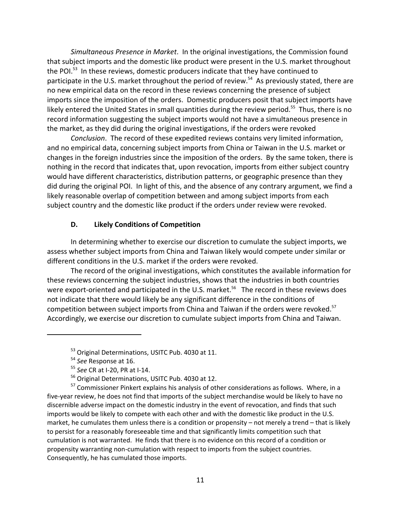*Simultaneous Presence in Market*. In the original investigations, the Commission found that subject imports and the domestic like product were present in the U.S. market throughout the POI.<sup>53</sup> In these reviews, domestic producers indicate that they have continued to participate in the U.S. market throughout the period of review.<sup>54</sup> As previously stated, there are no new empirical data on the record in these reviews concerning the presence of subject imports since the imposition of the orders. Domestic producers posit that subject imports have likely entered the United States in small quantities during the review period.<sup>55</sup> Thus, there is no record information suggesting the subject imports would not have a simultaneous presence in the market, as they did during the original investigations, if the orders were revoked

*Conclusion*. The record of these expedited reviews contains very limited information, and no empirical data, concerning subject imports from China or Taiwan in the U.S. market or changes in the foreign industries since the imposition of the orders. By the same token, there is nothing in the record that indicates that, upon revocation, imports from either subject country would have different characteristics, distribution patterns, or geographic presence than they did during the original POI. In light of this, and the absence of any contrary argument, we find a likely reasonable overlap of competition between and among subject imports from each subject country and the domestic like product if the orders under review were revoked.

# **D. Likely Conditions of Competition**

In determining whether to exercise our discretion to cumulate the subject imports, we assess whether subject imports from China and Taiwan likely would compete under similar or different conditions in the U.S. market if the orders were revoked.

The record of the original investigations, which constitutes the available information for these reviews concerning the subject industries, shows that the industries in both countries were export-oriented and participated in the U.S. market.<sup>56</sup> The record in these reviews does not indicate that there would likely be any significant difference in the conditions of competition between subject imports from China and Taiwan if the orders were revoked.<sup>57</sup> Accordingly, we exercise our discretion to cumulate subject imports from China and Taiwan.

<sup>&</sup>lt;sup>53</sup> Original Determinations, USITC Pub. 4030 at 11.

<sup>54</sup> *See* Response at 16.

<sup>55</sup> *See* CR at I‐20, PR at I‐14.

<sup>56</sup> Original Determinations, USITC Pub. 4030 at 12.

 $57$  Commissioner Pinkert explains his analysis of other considerations as follows. Where, in a five‐year review, he does not find that imports of the subject merchandise would be likely to have no discernible adverse impact on the domestic industry in the event of revocation, and finds that such imports would be likely to compete with each other and with the domestic like product in the U.S. market, he cumulates them unless there is a condition or propensity – not merely a trend – that is likely to persist for a reasonably foreseeable time and that significantly limits competition such that cumulation is not warranted. He finds that there is no evidence on this record of a condition or propensity warranting non‐cumulation with respect to imports from the subject countries. Consequently, he has cumulated those imports.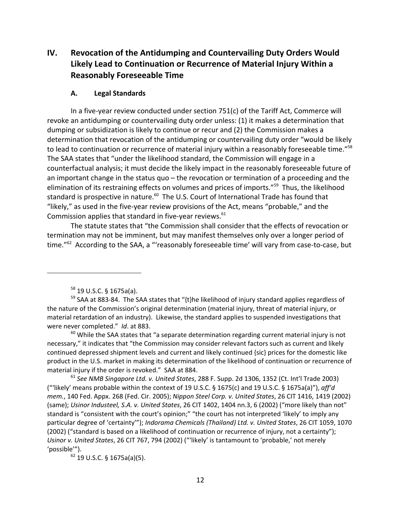# **IV. Revocation of the Antidumping and Countervailing Duty Orders Would Likely Lead to Continuation or Recurrence of Material Injury Within a Reasonably Foreseeable Time**

## **A. Legal Standards**

In a five‐year review conducted under section 751(c) of the Tariff Act, Commerce will revoke an antidumping or countervailing duty order unless: (1) it makes a determination that dumping or subsidization is likely to continue or recur and (2) the Commission makes a determination that revocation of the antidumping or countervailing duty order "would be likely to lead to continuation or recurrence of material injury within a reasonably foreseeable time."<sup>58</sup> The SAA states that "under the likelihood standard, the Commission will engage in a counterfactual analysis; it must decide the likely impact in the reasonably foreseeable future of an important change in the status quo – the revocation or termination of a proceeding and the elimination of its restraining effects on volumes and prices of imports."<sup>59</sup> Thus, the likelihood standard is prospective in nature.<sup>60</sup> The U.S. Court of International Trade has found that "likely," as used in the five‐year review provisions of the Act, means "probable," and the Commission applies that standard in five-year reviews.<sup>61</sup>

The statute states that "the Commission shall consider that the effects of revocation or termination may not be imminent, but may manifest themselves only over a longer period of time."<sup>62</sup> According to the SAA, a "'reasonably foreseeable time' will vary from case-to-case, but

 $60$  While the SAA states that "a separate determination regarding current material injury is not necessary," it indicates that "the Commission may consider relevant factors such as current and likely continued depressed shipment levels and current and likely continued {sic} prices for the domestic like product in the U.S. market in making its determination of the likelihood of continuation or recurrence of material injury if the order is revoked." SAA at 884.

<sup>61</sup> *See NMB Singapore Ltd. v. United States*, 288 F. Supp. 2d 1306, 1352 (Ct. Int'l Trade 2003) ("'likely' means probable within the context of 19 U.S.C. § 1675(c) and 19 U.S.C. § 1675a(a)"), *aff'd mem.*, 140 Fed. Appx. 268 (Fed. Cir. 2005); *Nippon Steel Corp. v. United States*, 26 CIT 1416, 1419 (2002) (same); *Usinor Industeel, S.A. v. United States*, 26 CIT 1402, 1404 nn.3, 6 (2002) ("more likely than not" standard is "consistent with the court's opinion;" "the court has not interpreted 'likely' to imply any particular degree of 'certainty'"); *Indorama Chemicals (Thailand) Ltd. v. United States*, 26 CIT 1059, 1070 (2002) ("standard is based on a likelihood of continuation or recurrence of injury, not a certainty"); *Usinor v. United States*, 26 CIT 767, 794 (2002) ("'likely' is tantamount to 'probable,' not merely 'possible'").

<sup>62</sup> 19 U.S.C. § 1675a(a)(5).

<sup>58</sup> 19 U.S.C. § 1675a(a).

<sup>&</sup>lt;sup>59</sup> SAA at 883-84. The SAA states that "{t}he likelihood of injury standard applies regardless of the nature of the Commission's original determination (material injury, threat of material injury, or material retardation of an industry). Likewise, the standard applies to suspended investigations that were never completed." *Id*. at 883.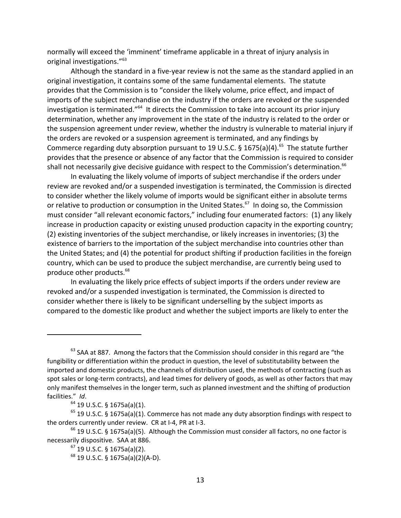normally will exceed the 'imminent' timeframe applicable in a threat of injury analysis in original investigations."<sup>63</sup>

Although the standard in a five‐year review is not the same as the standard applied in an original investigation, it contains some of the same fundamental elements. The statute provides that the Commission is to "consider the likely volume, price effect, and impact of imports of the subject merchandise on the industry if the orders are revoked or the suspended investigation is terminated."<sup>64</sup> It directs the Commission to take into account its prior injury determination, whether any improvement in the state of the industry is related to the order or the suspension agreement under review, whether the industry is vulnerable to material injury if the orders are revoked or a suspension agreement is terminated, and any findings by Commerce regarding duty absorption pursuant to 19 U.S.C. § 1675(a)(4).<sup>65</sup> The statute further provides that the presence or absence of any factor that the Commission is required to consider shall not necessarily give decisive guidance with respect to the Commission's determination.<sup>66</sup>

In evaluating the likely volume of imports of subject merchandise if the orders under review are revoked and/or a suspended investigation is terminated, the Commission is directed to consider whether the likely volume of imports would be significant either in absolute terms or relative to production or consumption in the United States.<sup>67</sup> In doing so, the Commission must consider "all relevant economic factors," including four enumerated factors: (1) any likely increase in production capacity or existing unused production capacity in the exporting country; (2) existing inventories of the subject merchandise, or likely increases in inventories; (3) the existence of barriers to the importation of the subject merchandise into countries other than the United States; and (4) the potential for product shifting if production facilities in the foreign country, which can be used to produce the subject merchandise, are currently being used to produce other products.68

In evaluating the likely price effects of subject imports if the orders under review are revoked and/or a suspended investigation is terminated, the Commission is directed to consider whether there is likely to be significant underselling by the subject imports as compared to the domestic like product and whether the subject imports are likely to enter the

 $63$  SAA at 887. Among the factors that the Commission should consider in this regard are "the fungibility or differentiation within the product in question, the level of substitutability between the imported and domestic products, the channels of distribution used, the methods of contracting (such as spot sales or long-term contracts), and lead times for delivery of goods, as well as other factors that may only manifest themselves in the longer term, such as planned investment and the shifting of production facilities." *Id*.

<sup>64</sup> 19 U.S.C. § 1675a(a)(1).

 $65$  19 U.S.C. § 1675a(a)(1). Commerce has not made any duty absorption findings with respect to the orders currently under review. CR at I‐4, PR at I‐3.

 $66$  19 U.S.C. § 1675a(a)(5). Although the Commission must consider all factors, no one factor is necessarily dispositive. SAA at 886.

 $67$  19 U.S.C. § 1675a(a)(2).

 $68$  19 U.S.C. § 1675a(a)(2)(A-D).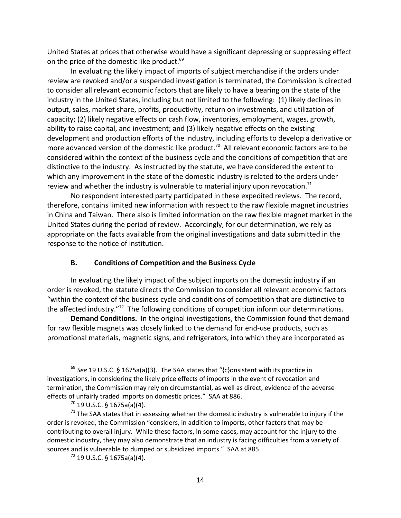United States at prices that otherwise would have a significant depressing or suppressing effect on the price of the domestic like product.<sup>69</sup>

In evaluating the likely impact of imports of subject merchandise if the orders under review are revoked and/or a suspended investigation is terminated, the Commission is directed to consider all relevant economic factors that are likely to have a bearing on the state of the industry in the United States, including but not limited to the following: (1) likely declines in output, sales, market share, profits, productivity, return on investments, and utilization of capacity; (2) likely negative effects on cash flow, inventories, employment, wages, growth, ability to raise capital, and investment; and (3) likely negative effects on the existing development and production efforts of the industry, including efforts to develop a derivative or more advanced version of the domestic like product.<sup>70</sup> All relevant economic factors are to be considered within the context of the business cycle and the conditions of competition that are distinctive to the industry. As instructed by the statute, we have considered the extent to which any improvement in the state of the domestic industry is related to the orders under review and whether the industry is vulnerable to material injury upon revocation.<sup>71</sup>

No respondent interested party participated in these expedited reviews. The record, therefore, contains limited new information with respect to the raw flexible magnet industries in China and Taiwan. There also is limited information on the raw flexible magnet market in the United States during the period of review. Accordingly, for our determination, we rely as appropriate on the facts available from the original investigations and data submitted in the response to the notice of institution.

### **B. Conditions of Competition and the Business Cycle**

In evaluating the likely impact of the subject imports on the domestic industry if an order is revoked, the statute directs the Commission to consider all relevant economic factors "within the context of the business cycle and conditions of competition that are distinctive to the affected industry."<sup>72</sup> The following conditions of competition inform our determinations.

**Demand Conditions.** In the original investigations, the Commission found that demand for raw flexible magnets was closely linked to the demand for end-use products, such as promotional materials, magnetic signs, and refrigerators, into which they are incorporated as

<sup>69</sup> *See* 19 U.S.C. § 1675a(a)(3). The SAA states that "{c}onsistent with its practice in investigations, in considering the likely price effects of imports in the event of revocation and termination, the Commission may rely on circumstantial, as well as direct, evidence of the adverse effects of unfairly traded imports on domestic prices." SAA at 886.

 $70$  19 U.S.C. § 1675a(a)(4).

 $71$  The SAA states that in assessing whether the domestic industry is vulnerable to injury if the order is revoked, the Commission "considers, in addition to imports, other factors that may be contributing to overall injury. While these factors, in some cases, may account for the injury to the domestic industry, they may also demonstrate that an industry is facing difficulties from a variety of sources and is vulnerable to dumped or subsidized imports." SAA at 885.

<sup>72</sup> 19 U.S.C. § 1675a(a)(4).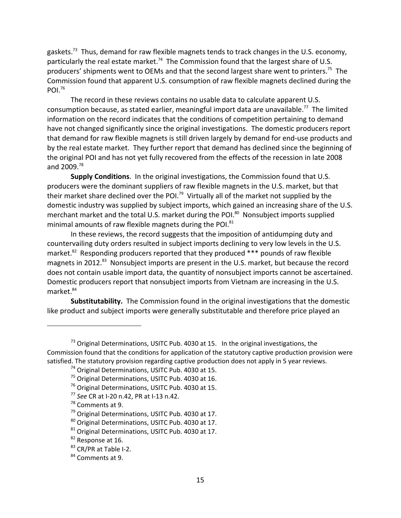gaskets.<sup>73</sup> Thus, demand for raw flexible magnets tends to track changes in the U.S. economy, particularly the real estate market.<sup>74</sup> The Commission found that the largest share of U.S. producers' shipments went to OEMs and that the second largest share went to printers.<sup>75</sup> The Commission found that apparent U.S. consumption of raw flexible magnets declined during the POI $^{76}$ 

The record in these reviews contains no usable data to calculate apparent U.S. consumption because, as stated earlier, meaningful import data are unavailable.<sup>77</sup> The limited information on the record indicates that the conditions of competition pertaining to demand have not changed significantly since the original investigations. The domestic producers report that demand for raw flexible magnets is still driven largely by demand for end‐use products and by the real estate market. They further report that demand has declined since the beginning of the original POI and has not yet fully recovered from the effects of the recession in late 2008 and 2009.<sup>78</sup>

**Supply Conditions**. In the original investigations, the Commission found that U.S. producers were the dominant suppliers of raw flexible magnets in the U.S. market, but that their market share declined over the POI.<sup>79</sup> Virtually all of the market not supplied by the domestic industry was supplied by subject imports, which gained an increasing share of the U.S. merchant market and the total U.S. market during the POI.<sup>80</sup> Nonsubject imports supplied minimal amounts of raw flexible magnets during the POI.<sup>81</sup>

In these reviews, the record suggests that the imposition of antidumping duty and countervailing duty orders resulted in subject imports declining to very low levels in the U.S. market.<sup>82</sup> Responding producers reported that they produced  $***$  pounds of raw flexible magnets in 2012.<sup>83</sup> Nonsubject imports are present in the U.S. market, but because the record does not contain usable import data, the quantity of nonsubject imports cannot be ascertained. Domestic producers report that nonsubject imports from Vietnam are increasing in the U.S. market.<sup>84</sup>

**Substitutability.** The Commission found in the original investigations that the domestic like product and subject imports were generally substitutable and therefore price played an

- <sup>77</sup> *See* CR at I‐20 n.42, PR at I‐13 n.42.
- <sup>78</sup> Comments at 9.

 $<sup>73</sup>$  Original Determinations, USITC Pub. 4030 at 15. In the original investigations, the</sup> Commission found that the conditions for application of the statutory captive production provision were satisfied. The statutory provision regarding captive production does not apply in 5 year reviews.

<sup>&</sup>lt;sup>74</sup> Original Determinations, USITC Pub. 4030 at 15.

<sup>&</sup>lt;sup>75</sup> Original Determinations, USITC Pub. 4030 at 16.

<sup>&</sup>lt;sup>76</sup> Original Determinations, USITC Pub. 4030 at 15.

<sup>&</sup>lt;sup>79</sup> Original Determinations, USITC Pub. 4030 at 17.

<sup>80</sup> Original Determinations, USITC Pub. 4030 at 17.

<sup>&</sup>lt;sup>81</sup> Original Determinations, USITC Pub. 4030 at 17.

<sup>&</sup>lt;sup>82</sup> Response at 16.

<sup>83</sup> CR/PR at Table I-2.

<sup>84</sup> Comments at 9.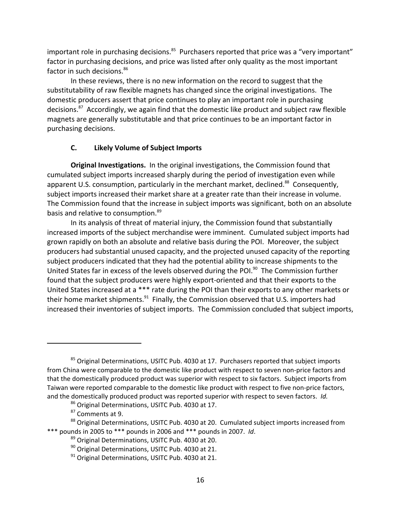important role in purchasing decisions.<sup>85</sup> Purchasers reported that price was a "very important" factor in purchasing decisions, and price was listed after only quality as the most important factor in such decisions.<sup>86</sup>

In these reviews, there is no new information on the record to suggest that the substitutability of raw flexible magnets has changed since the original investigations. The domestic producers assert that price continues to play an important role in purchasing decisions.<sup>87</sup> Accordingly, we again find that the domestic like product and subject raw flexible magnets are generally substitutable and that price continues to be an important factor in purchasing decisions.

# **C. Likely Volume of Subject Imports**

**Original Investigations.** In the original investigations, the Commission found that cumulated subject imports increased sharply during the period of investigation even while apparent U.S. consumption, particularly in the merchant market, declined.<sup>88</sup> Consequently, subject imports increased their market share at a greater rate than their increase in volume. The Commission found that the increase in subject imports was significant, both on an absolute basis and relative to consumption.<sup>89</sup>

In its analysis of threat of material injury, the Commission found that substantially increased imports of the subject merchandise were imminent. Cumulated subject imports had grown rapidly on both an absolute and relative basis during the POI. Moreover, the subject producers had substantial unused capacity, and the projected unused capacity of the reporting subject producers indicated that they had the potential ability to increase shipments to the United States far in excess of the levels observed during the POI.<sup>90</sup> The Commission further found that the subject producers were highly export‐oriented and that their exports to the United States increased at a \*\*\* rate during the POI than their exports to any other markets or their home market shipments.<sup>91</sup> Finally, the Commission observed that U.S. importers had increased their inventories of subject imports. The Commission concluded that subject imports,

 $85$  Original Determinations, USITC Pub. 4030 at 17. Purchasers reported that subject imports from China were comparable to the domestic like product with respect to seven non-price factors and that the domestically produced product was superior with respect to six factors. Subject imports from Taiwan were reported comparable to the domestic like product with respect to five non-price factors, and the domestically produced product was reported superior with respect to seven factors. *Id.*

<sup>86</sup> Original Determinations, USITC Pub. 4030 at 17.

<sup>87</sup> Comments at 9.

<sup>88</sup> Original Determinations, USITC Pub. 4030 at 20. Cumulated subject imports increased from \*\*\* pounds in 2005 to \*\*\* pounds in 2006 and \*\*\* pounds in 2007. *Id*.

<sup>89</sup> Original Determinations, USITC Pub. 4030 at 20.

<sup>&</sup>lt;sup>90</sup> Original Determinations, USITC Pub. 4030 at 21.

 $91$  Original Determinations, USITC Pub. 4030 at 21.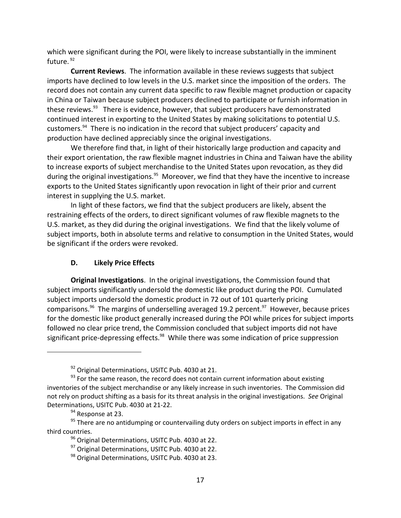which were significant during the POI, were likely to increase substantially in the imminent future. 92

**Current Reviews**. The information available in these reviews suggests that subject imports have declined to low levels in the U.S. market since the imposition of the orders. The record does not contain any current data specific to raw flexible magnet production or capacity in China or Taiwan because subject producers declined to participate or furnish information in these reviews.<sup>93</sup> There is evidence, however, that subject producers have demonstrated continued interest in exporting to the United States by making solicitations to potential U.S. customers.<sup>94</sup> There is no indication in the record that subject producers' capacity and production have declined appreciably since the original investigations.

We therefore find that, in light of their historically large production and capacity and their export orientation, the raw flexible magnet industries in China and Taiwan have the ability to increase exports of subject merchandise to the United States upon revocation, as they did during the original investigations.<sup>95</sup> Moreover, we find that they have the incentive to increase exports to the United States significantly upon revocation in light of their prior and current interest in supplying the U.S. market.

In light of these factors, we find that the subject producers are likely, absent the restraining effects of the orders, to direct significant volumes of raw flexible magnets to the U.S. market, as they did during the original investigations. We find that the likely volume of subject imports, both in absolute terms and relative to consumption in the United States, would be significant if the orders were revoked.

# **D. Likely Price Effects**

**Original Investigations**. In the original investigations, the Commission found that subject imports significantly undersold the domestic like product during the POI. Cumulated subject imports undersold the domestic product in 72 out of 101 quarterly pricing comparisons. $96$  The margins of underselling averaged 19.2 percent. $97$  However, because prices for the domestic like product generally increased during the POI while prices for subject imports followed no clear price trend, the Commission concluded that subject imports did not have significant price-depressing effects.<sup>98</sup> While there was some indication of price suppression

<sup>&</sup>lt;sup>92</sup> Original Determinations, USITC Pub. 4030 at 21.

 $93$  For the same reason, the record does not contain current information about existing inventories of the subject merchandise or any likely increase in such inventories. The Commission did not rely on product shifting as a basis for its threat analysis in the original investigations. *See* Original Determinations, USITC Pub. 4030 at 21‐22.

<sup>&</sup>lt;sup>94</sup> Response at 23.

 $95$  There are no antidumping or countervailing duty orders on subject imports in effect in any third countries.

<sup>&</sup>lt;sup>96</sup> Original Determinations, USITC Pub. 4030 at 22.

<sup>&</sup>lt;sup>97</sup> Original Determinations, USITC Pub. 4030 at 22.

<sup>98</sup> Original Determinations, USITC Pub. 4030 at 23.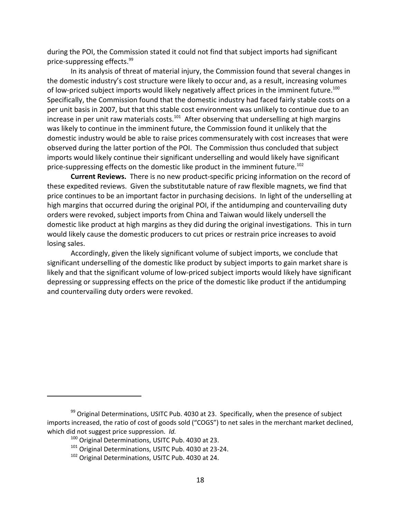during the POI, the Commission stated it could not find that subject imports had significant price‐suppressing effects.<sup>99</sup>

In its analysis of threat of material injury, the Commission found that several changes in the domestic industry's cost structure were likely to occur and, as a result, increasing volumes of low-priced subject imports would likely negatively affect prices in the imminent future.<sup>100</sup> Specifically, the Commission found that the domestic industry had faced fairly stable costs on a per unit basis in 2007, but that this stable cost environment was unlikely to continue due to an increase in per unit raw materials costs.<sup>101</sup> After observing that underselling at high margins was likely to continue in the imminent future, the Commission found it unlikely that the domestic industry would be able to raise prices commensurately with cost increases that were observed during the latter portion of the POI. The Commission thus concluded that subject imports would likely continue their significant underselling and would likely have significant price-suppressing effects on the domestic like product in the imminent future.<sup>102</sup>

**Current Reviews.** There is no new product‐specific pricing information on the record of these expedited reviews. Given the substitutable nature of raw flexible magnets, we find that price continues to be an important factor in purchasing decisions. In light of the underselling at high margins that occurred during the original POI, if the antidumping and countervailing duty orders were revoked, subject imports from China and Taiwan would likely undersell the domestic like product at high margins as they did during the original investigations. This in turn would likely cause the domestic producers to cut prices or restrain price increases to avoid losing sales.

Accordingly, given the likely significant volume of subject imports, we conclude that significant underselling of the domestic like product by subject imports to gain market share is likely and that the significant volume of low-priced subject imports would likely have significant depressing or suppressing effects on the price of the domestic like product if the antidumping and countervailing duty orders were revoked.

 $99$  Original Determinations, USITC Pub. 4030 at 23. Specifically, when the presence of subject imports increased, the ratio of cost of goods sold ("COGS") to net sales in the merchant market declined, which did not suggest price suppression. *Id.*

<sup>&</sup>lt;sup>100</sup> Original Determinations, USITC Pub. 4030 at 23.

<sup>&</sup>lt;sup>101</sup> Original Determinations, USITC Pub. 4030 at 23-24.

<sup>102</sup> Original Determinations, USITC Pub. 4030 at 24.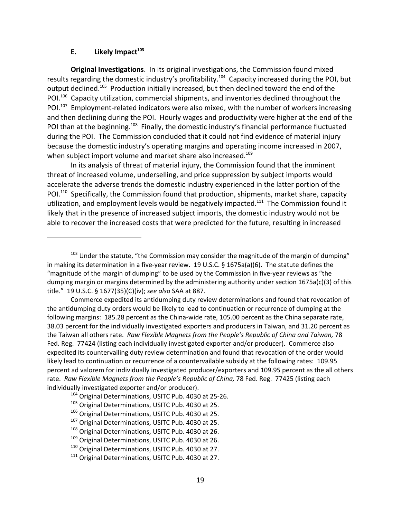#### **E.** Likely Impact<sup>103</sup>

**Original Investigations**. In its original investigations, the Commission found mixed results regarding the domestic industry's profitability.<sup>104</sup> Capacity increased during the POI, but output declined.<sup>105</sup> Production initially increased, but then declined toward the end of the POI.<sup>106</sup> Capacity utilization, commercial shipments, and inventories declined throughout the POI.<sup>107</sup> Employment-related indicators were also mixed, with the number of workers increasing and then declining during the POI. Hourly wages and productivity were higher at the end of the POI than at the beginning.<sup>108</sup> Finally, the domestic industry's financial performance fluctuated during the POI. The Commission concluded that it could not find evidence of material injury because the domestic industry's operating margins and operating income increased in 2007, when subject import volume and market share also increased.<sup>109</sup>

In its analysis of threat of material injury, the Commission found that the imminent threat of increased volume, underselling, and price suppression by subject imports would accelerate the adverse trends the domestic industry experienced in the latter portion of the POI.<sup>110</sup> Specifically, the Commission found that production, shipments, market share, capacity utilization, and employment levels would be negatively impacted.<sup>111</sup> The Commission found it likely that in the presence of increased subject imports, the domestic industry would not be able to recover the increased costs that were predicted for the future, resulting in increased

 $103$  Under the statute, "the Commission may consider the magnitude of the margin of dumping" in making its determination in a five-year review. 19 U.S.C. § 1675a(a)(6). The statute defines the "magnitude of the margin of dumping" to be used by the Commission in five‐year reviews as "the dumping margin or margins determined by the administering authority under section 1675a(c)(3) of this title." 19 U.S.C. § 1677(35)(C)(iv); *see also* SAA at 887.

Commerce expedited its antidumping duty review determinations and found that revocation of the antidumping duty orders would be likely to lead to continuation or recurrence of dumping at the following margins: 185.28 percent as the China-wide rate, 105.00 percent as the China separate rate, 38.03 percent for the individually investigated exporters and producers in Taiwan, and 31.20 percent as the Taiwan all others rate. *Raw Flexible Magnets from the People's Republic of China and Taiwan,* 78 Fed. Reg. 77424 (listing each individually investigated exporter and/or producer). Commerce also expedited its countervailing duty review determination and found that revocation of the order would likely lead to continuation or recurrence of a countervailable subsidy at the following rates: 109.95 percent ad valorem for individually investigated producer/exporters and 109.95 percent as the all others rate. *Raw Flexible Magnets from the People's Republic of China,* 78 Fed. Reg. 77425 (listing each individually investigated exporter and/or producer).

<sup>104</sup> Original Determinations, USITC Pub. 4030 at 25-26.

<sup>&</sup>lt;sup>105</sup> Original Determinations, USITC Pub. 4030 at 25.

<sup>106</sup> Original Determinations, USITC Pub. 4030 at 25.

<sup>&</sup>lt;sup>107</sup> Original Determinations, USITC Pub. 4030 at 25.

<sup>&</sup>lt;sup>108</sup> Original Determinations, USITC Pub. 4030 at 26.

<sup>&</sup>lt;sup>109</sup> Original Determinations, USITC Pub. 4030 at 26.

<sup>&</sup>lt;sup>110</sup> Original Determinations, USITC Pub. 4030 at 27.

<sup>&</sup>lt;sup>111</sup> Original Determinations, USITC Pub. 4030 at 27.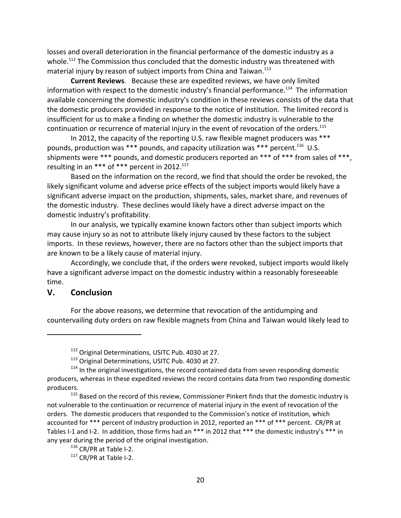losses and overall deterioration in the financial performance of the domestic industry as a whole.<sup>112</sup> The Commission thus concluded that the domestic industry was threatened with material injury by reason of subject imports from China and Taiwan.<sup>113</sup>

**Current Reviews**. Because these are expedited reviews, we have only limited information with respect to the domestic industry's financial performance.<sup>114</sup> The information available concerning the domestic industry's condition in these reviews consists of the data that the domestic producers provided in response to the notice of institution. The limited record is insufficient for us to make a finding on whether the domestic industry is vulnerable to the continuation or recurrence of material injury in the event of revocation of the orders.<sup>115</sup>

In 2012, the capacity of the reporting U.S. raw flexible magnet producers was \*\*\* pounds, production was \*\*\* pounds, and capacity utilization was \*\*\* percent.<sup>116</sup> U.S. shipments were \*\*\* pounds, and domestic producers reported an \*\*\* of \*\*\* from sales of \*\*\*, resulting in an \*\*\* of \*\*\* percent in 2012.<sup>117</sup>

Based on the information on the record, we find that should the order be revoked, the likely significant volume and adverse price effects of the subject imports would likely have a significant adverse impact on the production, shipments, sales, market share, and revenues of the domestic industry. These declines would likely have a direct adverse impact on the domestic industry's profitability.

In our analysis, we typically examine known factors other than subject imports which may cause injury so as not to attribute likely injury caused by these factors to the subject imports. In these reviews, however, there are no factors other than the subject imports that are known to be a likely cause of material injury.

Accordingly, we conclude that, if the orders were revoked, subject imports would likely have a significant adverse impact on the domestic industry within a reasonably foreseeable time.

# **V. Conclusion**

For the above reasons, we determine that revocation of the antidumping and countervailing duty orders on raw flexible magnets from China and Taiwan would likely lead to

<sup>&</sup>lt;sup>112</sup> Original Determinations, USITC Pub. 4030 at 27.

<sup>&</sup>lt;sup>113</sup> Original Determinations, USITC Pub. 4030 at 27.

<sup>&</sup>lt;sup>114</sup> In the original investigations, the record contained data from seven responding domestic producers, whereas in these expedited reviews the record contains data from two responding domestic producers.

<sup>&</sup>lt;sup>115</sup> Based on the record of this review, Commissioner Pinkert finds that the domestic industry is not vulnerable to the continuation or recurrence of material injury in the event of revocation of the orders. The domestic producers that responded to the Commission's notice of institution, which accounted for \*\*\* percent of industry production in 2012, reported an \*\*\* of \*\*\* percent. CR/PR at Tables I-1 and I-2. In addition, those firms had an \*\*\* in 2012 that \*\*\* the domestic industry's \*\*\* in any year during the period of the original investigation.

<sup>116</sup> CR/PR at Table I-2.

<sup>117</sup> CR/PR at Table I-2.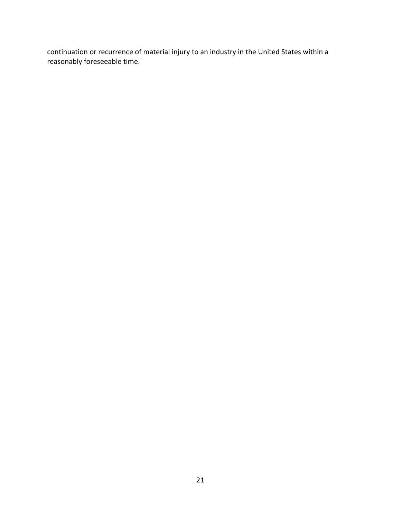continuation or recurrence of material injury to an industry in the United States within a reasonably foreseeable time.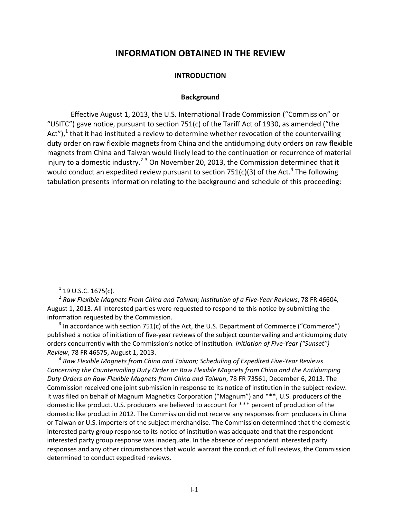# **INFORMATION OBTAINED IN THE REVIEW**

### **INTRODUCTION**

#### **Background**

Effective August 1, 2013, the U.S. International Trade Commission ("Commission" or "USITC") gave notice, pursuant to section 751(c) of the Tariff Act of 1930, as amended ("the Act").<sup>1</sup> that it had instituted a review to determine whether revocation of the countervailing duty order on raw flexible magnets from China and the antidumping duty orders on raw flexible magnets from China and Taiwan would likely lead to the continuation or recurrence of material injury to a domestic industry.<sup>2 3</sup> On November 20, 2013, the Commission determined that it would conduct an expedited review pursuant to section 751(c)(3) of the Act.<sup>4</sup> The following tabulation presents information relating to the background and schedule of this proceeding:

<sup>4</sup> *Raw Flexible Magnets from China and Taiwan; Scheduling of Expedited Five‐Year Reviews Concerning the Countervailing Duty Order on Raw Flexible Magnets from China and the Antidumping Duty Orders on Raw Flexible Magnets from China and Taiwan*, 78 FR 73561, December 6, 2013. The Commission received one joint submission in response to its notice of institution in the subject review. It was filed on behalf of Magnum Magnetics Corporation ("Magnum") and \*\*\*, U.S. producers of the domestic like product. U.S. producers are believed to account for \*\*\* percent of production of the domestic like product in 2012. The Commission did not receive any responses from producers in China or Taiwan or U.S. importers of the subject merchandise. The Commission determined that the domestic interested party group response to its notice of institution was adequate and that the respondent interested party group response was inadequate. In the absence of respondent interested party responses and any other circumstances that would warrant the conduct of full reviews, the Commission determined to conduct expedited reviews.

 $1$  19 U.S.C. 1675(c).

<sup>2</sup> *Raw Flexible Magnets From China and Taiwan; Institution of a Five‐Year Reviews*, 78 FR 46604*,* August 1, 2013. All interested parties were requested to respond to this notice by submitting the information requested by the Commission.

 $3$  In accordance with section 751(c) of the Act, the U.S. Department of Commerce ("Commerce") published a notice of initiation of five-year reviews of the subject countervailing and antidumping duty orders concurrently with the Commission's notice of institution. *Initiation of Five‐Year ("Sunset") Review*, 78 FR 46575, August 1, 2013.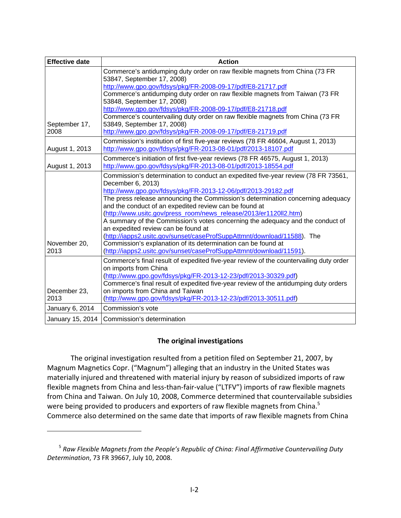| <b>Effective date</b> | <b>Action</b>                                                                          |
|-----------------------|----------------------------------------------------------------------------------------|
|                       | Commerce's antidumping duty order on raw flexible magnets from China (73 FR            |
|                       | 53847, September 17, 2008)                                                             |
|                       | http://www.gpo.gov/fdsys/pkg/FR-2008-09-17/pdf/E8-21717.pdf                            |
|                       | Commerce's antidumping duty order on raw flexible magnets from Taiwan (73 FR           |
|                       | 53848, September 17, 2008)                                                             |
|                       | http://www.gpo.gov/fdsys/pkg/FR-2008-09-17/pdf/E8-21718.pdf                            |
|                       | Commerce's countervailing duty order on raw flexible magnets from China (73 FR         |
| September 17,         | 53849, September 17, 2008)                                                             |
| 2008                  | http://www.gpo.gov/fdsys/pkg/FR-2008-09-17/pdf/E8-21719.pdf                            |
|                       | Commission's institution of first five-year reviews (78 FR 46604, August 1, 2013)      |
| August 1, 2013        | http://www.gpo.gov/fdsys/pkg/FR-2013-08-01/pdf/2013-18107.pdf                          |
|                       | Commerce's initiation of first five-year reviews (78 FR 46575, August 1, 2013)         |
| August 1, 2013        | http://www.gpo.gov/fdsys/pkg/FR-2013-08-01/pdf/2013-18554.pdf                          |
|                       | Commission's determination to conduct an expedited five-year review (78 FR 73561,      |
|                       | December 6, 2013)                                                                      |
|                       | http://www.gpo.gov/fdsys/pkg/FR-2013-12-06/pdf/2013-29182.pdf                          |
|                       | The press release announcing the Commission's determination concerning adequacy        |
|                       | and the conduct of an expedited review can be found at                                 |
|                       | (http://www.usitc.gov/press_room/news_release/2013/er1120ll2.htm)                      |
|                       | A summary of the Commission's votes concerning the adequacy and the conduct of         |
|                       | an expedited review can be found at                                                    |
|                       | (http://iapps2.usitc.gov/sunset/caseProfSuppAttmnt/download/11588). The                |
| November 20,          | Commission's explanation of its determination can be found at                          |
| 2013                  | (http://iapps2.usitc.gov/sunset/caseProfSuppAttmnt/download/11591).                    |
|                       | Commerce's final result of expedited five-year review of the countervailing duty order |
|                       | on imports from China                                                                  |
|                       | (http://www.gpo.gov/fdsys/pkg/FR-2013-12-23/pdf/2013-30329.pdf)                        |
|                       | Commerce's final result of expedited five-year review of the antidumping duty orders   |
| December 23,          | on imports from China and Taiwan                                                       |
| 2013                  | (http://www.gpo.gov/fdsys/pkg/FR-2013-12-23/pdf/2013-30511.pdf)                        |
| January 6, 2014       | Commission's vote                                                                      |
| January 15, 2014      | Commission's determination                                                             |

# **The original investigations**

The original investigation resulted from a petition filed on September 21, 2007, by Magnum Magnetics Copr. ("Magnum") alleging that an industry in the United States was materially injured and threatened with material injury by reason of subsidized imports of raw flexible magnets from China and less-than-fair-value ("LTFV") imports of raw flexible magnets from China and Taiwan. On July 10, 2008, Commerce determined that countervailable subsidies were being provided to producers and exporters of raw flexible magnets from China.<sup>5</sup> Commerce also determined on the same date that imports of raw flexible magnets from China

<sup>5</sup> *Raw Flexible Magnets from the People's Republic of China: Final Affirmative Countervailing Duty Determination*, 73 FR 39667, July 10, 2008.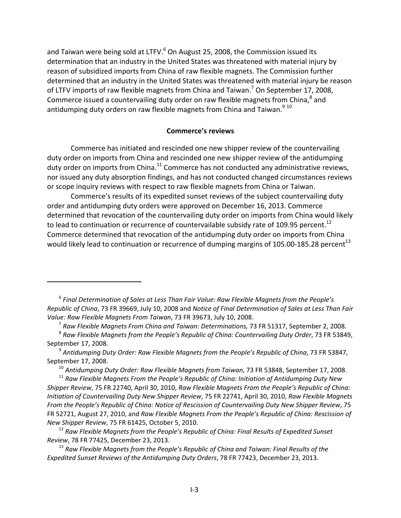and Taiwan were being sold at LTFV. $^6$  On August 25, 2008, the Commission issued its determination that an industry in the United States was threatened with material injury by reason of subsidized imports from China of raw flexible magnets. The Commission further determined that an industry in the United States was threatened with material injury be reason of LTFV imports of raw flexible magnets from China and Taiwan.<sup>7</sup> On September 17, 2008, Commerce issued a countervailing duty order on raw flexible magnets from China, $^8$  and antidumping duty orders on raw flexible magnets from China and Taiwan. $9^{9}$  10

#### **Commerce's reviews**

Commerce has initiated and rescinded one new shipper review of the countervailing duty order on imports from China and rescinded one new shipper review of the antidumping duty order on imports from China. $^{11}$  Commerce has not conducted any administrative reviews, nor issued any duty absorption findings, and has not conducted changed circumstances reviews or scope inquiry reviews with respect to raw flexible magnets from China or Taiwan.

Commerce's results of its expedited sunset reviews of the subject countervailing duty order and antidumping duty orders were approved on December 16, 2013. Commerce determined that revocation of the countervailing duty order on imports from China would likely to lead to continuation or recurrence of countervailable subsidy rate of 109.95 percent.<sup>12</sup> Commerce determined that revocation of the antidumping duty order on imports from China would likely lead to continuation or recurrence of dumping margins of 105.00-185.28 percent<sup>13</sup>

<sup>7</sup> *Raw Flexible Magnets From China and Taiwan: Determinations,* 73 FR 51317, September 2, 2008.

<sup>6</sup> *Final Determination of Sales at Less Than Fair Value: Raw Flexible Magnets from the People's Republic of China*, 73 FR 39669, July 10, 2008 and *Notice of Final Determination of Sales at Less Than Fair Value: Raw Flexible Magnets From Taiwan*, 73 FR 39673, July 10, 2008.

<sup>8</sup> *Raw Flexible Magnets from the People's Republic of China: Countervailing Duty Order*, 73 FR 53849, September 17, 2008.

<sup>9</sup> *Antidumping Duty Order: Raw Flexible Magnets from the People's Republic of China*, 73 FR 53847, September 17, 2008.

<sup>10</sup> *Antidumping Duty Order: Raw Flexible Magnets from Taiwan*, 73 FR 53848, September 17, 2008.

<sup>11</sup> *Raw Flexible Magnets From the People's Republic of China: Initiation of Antidumping Duty New Shipper Review*, 75 FR 22740, April 30, 2010, *Raw Flexible Magnets From the People's Republic of China: Initiation of Countervailing Duty New Shipper Review*, 75 FR 22741, April 30, 2010, *Raw Flexible Magnets From the People's Republic of China: Notice of Rescission of Countervailing Duty New Shipper Review*, 75 FR 52721, August 27, 2010, and *Raw Flexible Magnets From the People's Republic of China: Rescission of New Shipper Review*, 75 FR 61425, October 5, 2010.

<sup>12</sup> *Raw Flexible Magnets from the People's Republic of China: Final Results of Expedited Sunset Review*, 78 FR 77425, December 23, 2013.

<sup>13</sup> *Raw Flexible Magnets from the People's Republic of China and Taiwan: Final Results of the Expedited Sunset Reviews of the Antidumping Duty Orders*, 78 FR 77423, December 23, 2013.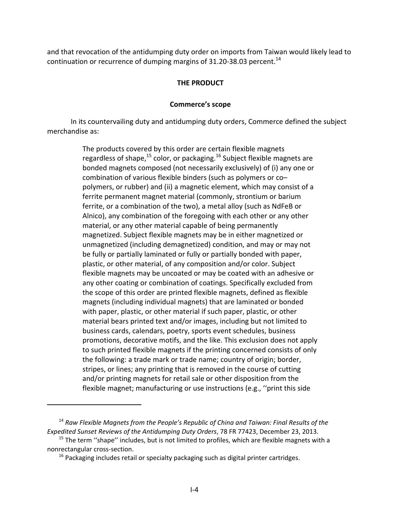and that revocation of the antidumping duty order on imports from Taiwan would likely lead to continuation or recurrence of dumping margins of 31.20-38.03 percent.<sup>14</sup>

## **THE PRODUCT**

### **Commerce's scope**

In its countervailing duty and antidumping duty orders, Commerce defined the subject merchandise as:

> The products covered by this order are certain flexible magnets regardless of shape, $^{15}$  color, or packaging.<sup>16</sup> Subject flexible magnets are bonded magnets composed (not necessarily exclusively) of (i) any one or combination of various flexible binders (such as polymers or co– polymers, or rubber) and (ii) a magnetic element, which may consist of a ferrite permanent magnet material (commonly, strontium or barium ferrite, or a combination of the two), a metal alloy (such as NdFeB or Alnico), any combination of the foregoing with each other or any other material, or any other material capable of being permanently magnetized. Subject flexible magnets may be in either magnetized or unmagnetized (including demagnetized) condition, and may or may not be fully or partially laminated or fully or partially bonded with paper, plastic, or other material, of any composition and/or color. Subject flexible magnets may be uncoated or may be coated with an adhesive or any other coating or combination of coatings. Specifically excluded from the scope of this order are printed flexible magnets, defined as flexible magnets (including individual magnets) that are laminated or bonded with paper, plastic, or other material if such paper, plastic, or other material bears printed text and/or images, including but not limited to business cards, calendars, poetry, sports event schedules, business promotions, decorative motifs, and the like. This exclusion does not apply to such printed flexible magnets if the printing concerned consists of only the following: a trade mark or trade name; country of origin; border, stripes, or lines; any printing that is removed in the course of cutting and/or printing magnets for retail sale or other disposition from the flexible magnet; manufacturing or use instructions (e.g., ''print this side

<sup>14</sup> *Raw Flexible Magnets from the People's Republic of China and Taiwan: Final Results of the Expedited Sunset Reviews of the Antidumping Duty Orders*, 78 FR 77423, December 23, 2013.

 $15$  The term "shape" includes, but is not limited to profiles, which are flexible magnets with a nonrectangular cross‐section.

 $16$  Packaging includes retail or specialty packaging such as digital printer cartridges.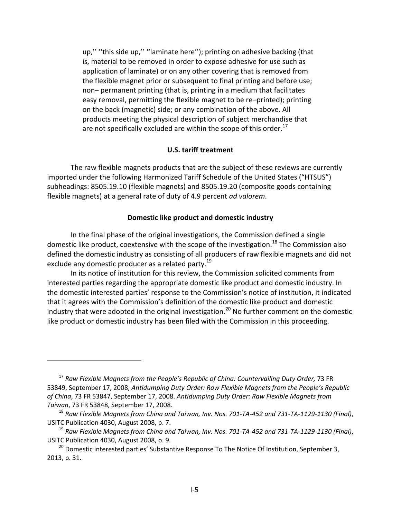up,'' ''this side up,'' ''laminate here''); printing on adhesive backing (that is, material to be removed in order to expose adhesive for use such as application of laminate) or on any other covering that is removed from the flexible magnet prior or subsequent to final printing and before use; non– permanent printing (that is, printing in a medium that facilitates easy removal, permitting the flexible magnet to be re–printed); printing on the back (magnetic) side; or any combination of the above. All products meeting the physical description of subject merchandise that are not specifically excluded are within the scope of this order. $^{17}$ 

#### **U.S. tariff treatment**

The raw flexible magnets products that are the subject of these reviews are currently imported under the following Harmonized Tariff Schedule of the United States ("HTSUS") subheadings: 8505.19.10 (flexible magnets) and 8505.19.20 (composite goods containing flexible magnets) at a general rate of duty of 4.9 percent *ad valorem*.

#### **Domestic like product and domestic industry**

In the final phase of the original investigations, the Commission defined a single domestic like product, coextensive with the scope of the investigation.<sup>18</sup> The Commission also defined the domestic industry as consisting of all producers of raw flexible magnets and did not exclude any domestic producer as a related party.<sup>19</sup>

In its notice of institution for this review, the Commission solicited comments from interested parties regarding the appropriate domestic like product and domestic industry. In the domestic interested parties' response to the Commission's notice of institution, it indicated that it agrees with the Commission's definition of the domestic like product and domestic industry that were adopted in the original investigation.<sup>20</sup> No further comment on the domestic like product or domestic industry has been filed with the Commission in this proceeding.

<sup>17</sup> *Raw Flexible Magnets from the People's Republic of China: Countervailing Duty Order,* 73 FR 53849, September 17, 2008, *Antidumping Duty Order: Raw Flexible Magnets from the People's Republic of China*, 73 FR 53847, September 17, 2008. *Antidumping Duty Order: Raw Flexible Magnets from Taiwan*, 73 FR 53848, September 17, 2008*.*

<sup>&</sup>lt;sup>18</sup> Raw Flexible Magnets from China and Taiwan, Inv. Nos. 701-TA-452 and 731-TA-1129-1130 (Final), USITC Publication 4030, August 2008, p. 7.

 $^{19}$  Raw Flexible Magnets from China and Taiwan, Inv. Nos. 701-TA-452 and 731-TA-1129-1130 (Final), USITC Publication 4030, August 2008, p. 9.

<sup>&</sup>lt;sup>20</sup> Domestic interested parties' Substantive Response To The Notice Of Institution, September 3, 2013, p. 31.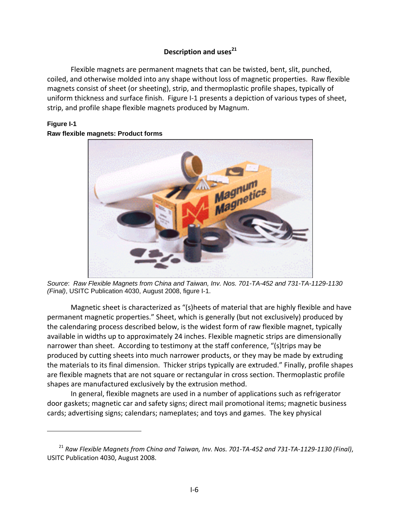# **Description** and uses<sup>21</sup>

Flexible magnets are permanent magnets that can be twisted, bent, slit, punched, coiled, and otherwise molded into any shape without loss of magnetic properties. Raw flexible magnets consist of sheet (or sheeting), strip, and thermoplastic profile shapes, typically of uniform thickness and surface finish. Figure I‐1 presents a depiction of various types of sheet, strip, and profile shape flexible magnets produced by Magnum.

## **Figure I-1 Raw flexible magnets: Product forms**



*Source*: *Raw Flexible Magnets from China and Taiwan, Inv. Nos. 701-TA-452 and 731-TA-1129-1130 (Final)*, USITC Publication 4030, August 2008, figure I-1.

Magnetic sheet is characterized as "(s)heets of material that are highly flexible and have permanent magnetic properties." Sheet, which is generally (but not exclusively) produced by the calendaring process described below, is the widest form of raw flexible magnet, typically available in widths up to approximately 24 inches. Flexible magnetic strips are dimensionally narrower than sheet. According to testimony at the staff conference, "(s)trips may be produced by cutting sheets into much narrower products, or they may be made by extruding the materials to its final dimension. Thicker strips typically are extruded." Finally, profile shapes are flexible magnets that are not square or rectangular in cross section. Thermoplastic profile shapes are manufactured exclusively by the extrusion method.

In general, flexible magnets are used in a number of applications such as refrigerator door gaskets; magnetic car and safety signs; direct mail promotional items; magnetic business cards; advertising signs; calendars; nameplates; and toys and games. The key physical

<sup>&</sup>lt;sup>21</sup> Raw Flexible Magnets from China and Taiwan, Inv. Nos. 701-TA-452 and 731-TA-1129-1130 (Final), USITC Publication 4030, August 2008.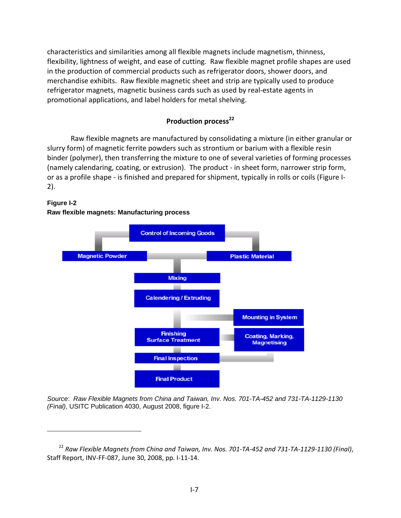characteristics and similarities among all flexible magnets include magnetism, thinness, flexibility, lightness of weight, and ease of cutting. Raw flexible magnet profile shapes are used in the production of commercial products such as refrigerator doors, shower doors, and merchandise exhibits. Raw flexible magnetic sheet and strip are typically used to produce refrigerator magnets, magnetic business cards such as used by real‐estate agents in promotional applications, and label holders for metal shelving.

## **Production process**<sup>22</sup>

Raw flexible magnets are manufactured by consolidating a mixture (in either granular or slurry form) of magnetic ferrite powders such as strontium or barium with a flexible resin binder (polymer), then transferring the mixture to one of several varieties of forming processes (namely calendaring, coating, or extrusion). The product ‐ in sheet form, narrower strip form, or as a profile shape ‐ is finished and prepared for shipment, typically in rolls or coils (Figure I‐ 2).

### **Figure I-2**

### **Raw flexible magnets: Manufacturing process**



*Source*: *Raw Flexible Magnets from China and Taiwan, Inv. Nos. 701-TA-452 and 731-TA-1129-1130 (Final)*, USITC Publication 4030, August 2008, figure I-2.

<sup>&</sup>lt;sup>22</sup> Raw Flexible Magnets from China and Taiwan, Inv. Nos. 701-TA-452 and 731-TA-1129-1130 (Final), Staff Report, INV‐FF‐087, June 30, 2008, pp. I‐11‐14.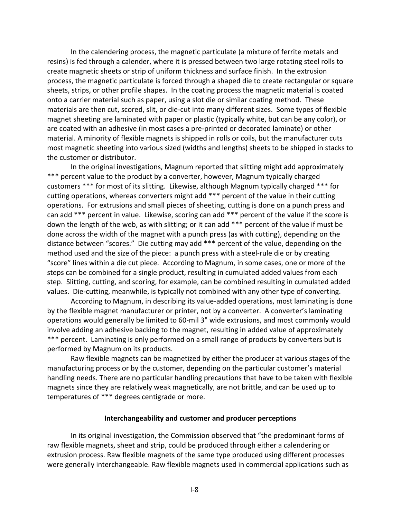In the calendering process, the magnetic particulate (a mixture of ferrite metals and resins) is fed through a calender, where it is pressed between two large rotating steel rolls to create magnetic sheets or strip of uniform thickness and surface finish. In the extrusion process, the magnetic particulate is forced through a shaped die to create rectangular or square sheets, strips, or other profile shapes. In the coating process the magnetic material is coated onto a carrier material such as paper, using a slot die or similar coating method. These materials are then cut, scored, slit, or die‐cut into many different sizes. Some types of flexible magnet sheeting are laminated with paper or plastic (typically white, but can be any color), or are coated with an adhesive (in most cases a pre‐printed or decorated laminate) or other material. A minority of flexible magnets is shipped in rolls or coils, but the manufacturer cuts most magnetic sheeting into various sized (widths and lengths) sheets to be shipped in stacks to the customer or distributor.

In the original investigations, Magnum reported that slitting might add approximately \*\*\* percent value to the product by a converter, however, Magnum typically charged customers \*\*\* for most of its slitting. Likewise, although Magnum typically charged \*\*\* for cutting operations, whereas converters might add \*\*\* percent of the value in their cutting operations. For extrusions and small pieces of sheeting, cutting is done on a punch press and can add \*\*\* percent in value. Likewise, scoring can add \*\*\* percent of the value if the score is down the length of the web, as with slitting; or it can add \*\*\* percent of the value if must be done across the width of the magnet with a punch press (as with cutting), depending on the distance between "scores." Die cutting may add \*\*\* percent of the value, depending on the method used and the size of the piece: a punch press with a steel-rule die or by creating "score" lines within a die cut piece. According to Magnum, in some cases, one or more of the steps can be combined for a single product, resulting in cumulated added values from each step. Slitting, cutting, and scoring, for example, can be combined resulting in cumulated added values. Die-cutting, meanwhile, is typically not combined with any other type of converting.

According to Magnum, in describing its value‐added operations, most laminating is done by the flexible magnet manufacturer or printer, not by a converter. A converter's laminating operations would generally be limited to 60‐mil 3" wide extrusions, and most commonly would involve adding an adhesive backing to the magnet, resulting in added value of approximately \*\*\* percent. Laminating is only performed on a small range of products by converters but is performed by Magnum on its products.

Raw flexible magnets can be magnetized by either the producer at various stages of the manufacturing process or by the customer, depending on the particular customer's material handling needs. There are no particular handling precautions that have to be taken with flexible magnets since they are relatively weak magnetically, are not brittle, and can be used up to temperatures of \*\*\* degrees centigrade or more.

#### **Interchangeability and customer and producer perceptions**

In its original investigation, the Commission observed that "the predominant forms of raw flexible magnets, sheet and strip, could be produced through either a calendering or extrusion process. Raw flexible magnets of the same type produced using different processes were generally interchangeable. Raw flexible magnets used in commercial applications such as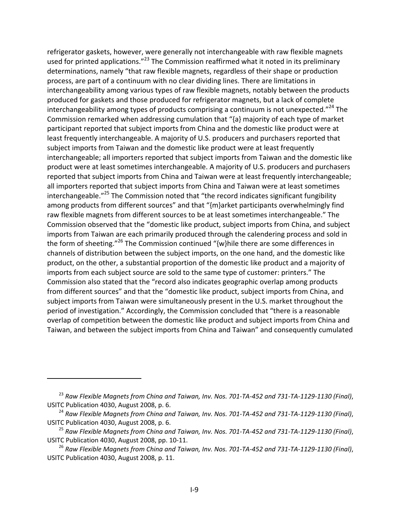refrigerator gaskets, however, were generally not interchangeable with raw flexible magnets used for printed applications."<sup>23</sup> The Commission reaffirmed what it noted in its preliminary determinations, namely "that raw flexible magnets, regardless of their shape or production process, are part of a continuum with no clear dividing lines. There are limitations in interchangeability among various types of raw flexible magnets, notably between the products produced for gaskets and those produced for refrigerator magnets, but a lack of complete interchangeability among types of products comprising a continuum is not unexpected."<sup>24</sup> The Commission remarked when addressing cumulation that "{a} majority of each type of market participant reported that subject imports from China and the domestic like product were at least frequently interchangeable. A majority of U.S. producers and purchasers reported that subject imports from Taiwan and the domestic like product were at least frequently interchangeable; all importers reported that subject imports from Taiwan and the domestic like product were at least sometimes interchangeable. A majority of U.S. producers and purchasers reported that subject imports from China and Taiwan were at least frequently interchangeable; all importers reported that subject imports from China and Taiwan were at least sometimes interchangeable."<sup>25</sup> The Commission noted that "the record indicates significant fungibility among products from different sources" and that "{m}arket participants overwhelmingly find raw flexible magnets from different sources to be at least sometimes interchangeable." The Commission observed that the "domestic like product, subject imports from China, and subject imports from Taiwan are each primarily produced through the calendering process and sold in the form of sheeting."<sup>26</sup> The Commission continued " $\{w\}$ hile there are some differences in channels of distribution between the subject imports, on the one hand, and the domestic like product, on the other, a substantial proportion of the domestic like product and a majority of imports from each subject source are sold to the same type of customer: printers." The Commission also stated that the "record also indicates geographic overlap among products from different sources" and that the "domestic like product, subject imports from China, and subject imports from Taiwan were simultaneously present in the U.S. market throughout the period of investigation." Accordingly, the Commission concluded that "there is a reasonable overlap of competition between the domestic like product and subject imports from China and Taiwan, and between the subject imports from China and Taiwan" and consequently cumulated

<sup>&</sup>lt;sup>23</sup> Raw Flexible Magnets from China and Taiwan, Inv. Nos. 701-TA-452 and 731-TA-1129-1130 (Final), USITC Publication 4030, August 2008, p. 6.

<sup>&</sup>lt;sup>24</sup> Raw Flexible Magnets from China and Taiwan, Inv. Nos. 701-TA-452 and 731-TA-1129-1130 (Final), USITC Publication 4030, August 2008, p. 6.

<sup>&</sup>lt;sup>25</sup> Raw Flexible Magnets from China and Taiwan, Inv. Nos. 701-TA-452 and 731-TA-1129-1130 (Final), USITC Publication 4030, August 2008, pp. 10‐11.

 $^{26}$  Raw Flexible Magnets from China and Taiwan, Inv. Nos. 701-TA-452 and 731-TA-1129-1130 (Final), USITC Publication 4030, August 2008, p. 11.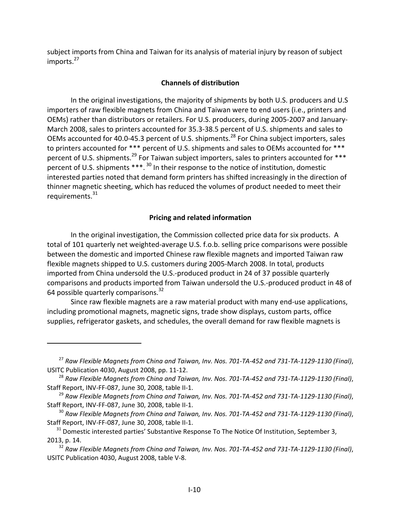subject imports from China and Taiwan for its analysis of material injury by reason of subject imports.<sup>27</sup>

## **Channels of distribution**

In the original investigations, the majority of shipments by both U.S. producers and U.S importers of raw flexible magnets from China and Taiwan were to end users (i.e., printers and OEMs) rather than distributors or retailers. For U.S. producers, during 2005‐2007 and January‐ March 2008, sales to printers accounted for 35.3‐38.5 percent of U.S. shipments and sales to OEMs accounted for 40.0-45.3 percent of U.S. shipments.<sup>28</sup> For China subject importers, sales to printers accounted for \*\*\* percent of U.S. shipments and sales to OEMs accounted for \*\*\* percent of U.S. shipments.<sup>29</sup> For Taiwan subject importers, sales to printers accounted for \*\*\* percent of U.S. shipments \*\*\*. <sup>30</sup> In their response to the notice of institution, domestic interested parties noted that demand form printers has shifted increasingly in the direction of thinner magnetic sheeting, which has reduced the volumes of product needed to meet their requirements.<sup>31</sup>

## **Pricing and related information**

In the original investigation, the Commission collected price data for six products. A total of 101 quarterly net weighted‐average U.S. f.o.b. selling price comparisons were possible between the domestic and imported Chinese raw flexible magnets and imported Taiwan raw flexible magnets shipped to U.S. customers during 2005‐March 2008. In total, products imported from China undersold the U.S.‐produced product in 24 of 37 possible quarterly comparisons and products imported from Taiwan undersold the U.S.‐produced product in 48 of 64 possible quarterly comparisons.<sup>32</sup>

Since raw flexible magnets are a raw material product with many end‐use applications, including promotional magnets, magnetic signs, trade show displays, custom parts, office supplies, refrigerator gaskets, and schedules, the overall demand for raw flexible magnets is

 $^{27}$  Raw Flexible Magnets from China and Taiwan, Inv. Nos. 701-TA-452 and 731-TA-1129-1130 (Final), USITC Publication 4030, August 2008, pp. 11‐12.

 $^{28}$  Raw Flexible Magnets from China and Taiwan, Inv. Nos. 701-TA-452 and 731-TA-1129-1130 (Final), Staff Report, INV‐FF‐087, June 30, 2008, table II‐1.

<sup>&</sup>lt;sup>29</sup> Raw Flexible Magnets from China and Taiwan, Inv. Nos. 701-TA-452 and 731-TA-1129-1130 (Final), Staff Report, INV‐FF‐087, June 30, 2008, table II‐1.

<sup>&</sup>lt;sup>30</sup> Raw Flexible Magnets from China and Taiwan, Inv. Nos. 701-TA-452 and 731-TA-1129-1130 (Final), Staff Report, INV‐FF‐087, June 30, 2008, table II‐1.

 $31$  Domestic interested parties' Substantive Response To The Notice Of Institution, September 3, 2013, p. 14.

<sup>&</sup>lt;sup>32</sup> Raw Flexible Magnets from China and Taiwan, Inv. Nos. 701-TA-452 and 731-TA-1129-1130 (Final), USITC Publication 4030, August 2008, table V‐8.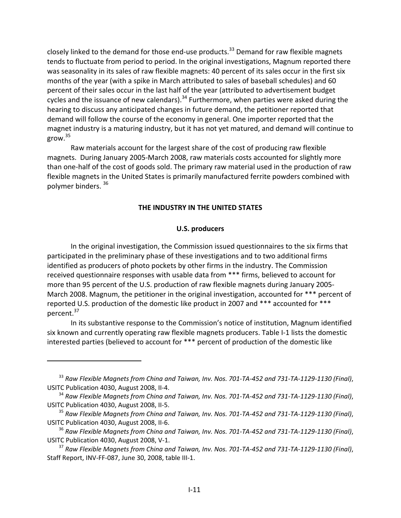closely linked to the demand for those end-use products.<sup>33</sup> Demand for raw flexible magnets tends to fluctuate from period to period. In the original investigations, Magnum reported there was seasonality in its sales of raw flexible magnets: 40 percent of its sales occur in the first six months of the year (with a spike in March attributed to sales of baseball schedules) and 60 percent of their sales occur in the last half of the year (attributed to advertisement budget cycles and the issuance of new calendars).<sup>34</sup> Furthermore, when parties were asked during the hearing to discuss any anticipated changes in future demand, the petitioner reported that demand will follow the course of the economy in general. One importer reported that the magnet industry is a maturing industry, but it has not yet matured, and demand will continue to grow.<sup>35</sup>

Raw materials account for the largest share of the cost of producing raw flexible magnets. During January 2005‐March 2008, raw materials costs accounted for slightly more than one‐half of the cost of goods sold. The primary raw material used in the production of raw flexible magnets in the United States is primarily manufactured ferrite powders combined with polymer binders. 36

#### **THE INDUSTRY IN THE UNITED STATES**

#### **U.S. producers**

In the original investigation, the Commission issued questionnaires to the six firms that participated in the preliminary phase of these investigations and to two additional firms identified as producers of photo pockets by other firms in the industry. The Commission received questionnaire responses with usable data from \*\*\* firms, believed to account for more than 95 percent of the U.S. production of raw flexible magnets during January 2005‐ March 2008. Magnum, the petitioner in the original investigation, accounted for \*\*\* percent of reported U.S. production of the domestic like product in 2007 and \*\*\* accounted for \*\*\* percent.<sup>37</sup>

In its substantive response to the Commission's notice of institution, Magnum identified six known and currently operating raw flexible magnets producers. Table I‐1 lists the domestic interested parties (believed to account for \*\*\* percent of production of the domestic like

 $33$  Raw Flexible Magnets from China and Taiwan, Inv. Nos. 701-TA-452 and 731-TA-1129-1130 (Final), USITC Publication 4030, August 2008, II‐4.

 $34$  Raw Flexible Magnets from China and Taiwan, Inv. Nos. 701-TA-452 and 731-TA-1129-1130 (Final), USITC Publication 4030, August 2008, II‐5.

<sup>&</sup>lt;sup>35</sup> Raw Flexible Magnets from China and Taiwan, Inv. Nos. 701-TA-452 and 731-TA-1129-1130 (Final), USITC Publication 4030, August 2008, II‐6.

 $^{36}$  Raw Flexible Magnets from China and Taiwan, Inv. Nos. 701-TA-452 and 731-TA-1129-1130 (Final), USITC Publication 4030, August 2008, V‐1.

 $37$  Raw Flexible Magnets from China and Taiwan, Inv. Nos. 701-TA-452 and 731-TA-1129-1130 (Final), Staff Report, INV‐FF‐087, June 30, 2008, table III‐1.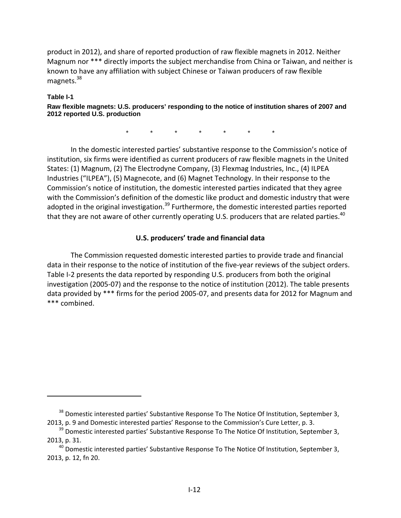product in 2012), and share of reported production of raw flexible magnets in 2012. Neither Magnum nor \*\*\* directly imports the subject merchandise from China or Taiwan, and neither is known to have any affiliation with subject Chinese or Taiwan producers of raw flexible magnets.<sup>38</sup>

### **Table I-1**

**Raw flexible magnets: U.S. producers' responding to the notice of institution shares of 2007 and 2012 reported U.S. production** 

\* \* \* \* \* \* \*

In the domestic interested parties' substantive response to the Commission's notice of institution, six firms were identified as current producers of raw flexible magnets in the United States: (1) Magnum, (2) The Electrodyne Company, (3) Flexmag Industries, Inc., (4) ILPEA Industries ("ILPEA"), (5) Magnecote, and (6) Magnet Technology. In their response to the Commission's notice of institution, the domestic interested parties indicated that they agree with the Commission's definition of the domestic like product and domestic industry that were adopted in the original investigation.<sup>39</sup> Furthermore, the domestic interested parties reported that they are not aware of other currently operating U.S. producers that are related parties.<sup>40</sup>

# **U.S. producers' trade and financial data**

The Commission requested domestic interested parties to provide trade and financial data in their response to the notice of institution of the five-year reviews of the subject orders. Table I-2 presents the data reported by responding U.S. producers from both the original investigation (2005‐07) and the response to the notice of institution (2012). The table presents data provided by \*\*\* firms for the period 2005‐07, and presents data for 2012 for Magnum and \*\*\* combined.

<sup>&</sup>lt;sup>38</sup> Domestic interested parties' Substantive Response To The Notice Of Institution, September 3, 2013, p. 9 and Domestic interested parties' Response to the Commission's Cure Letter, p. 3.

 $39$  Domestic interested parties' Substantive Response To The Notice Of Institution, September 3, 2013, p. 31.

 $40$  Domestic interested parties' Substantive Response To The Notice Of Institution, September 3, 2013, p. 12, fn 20.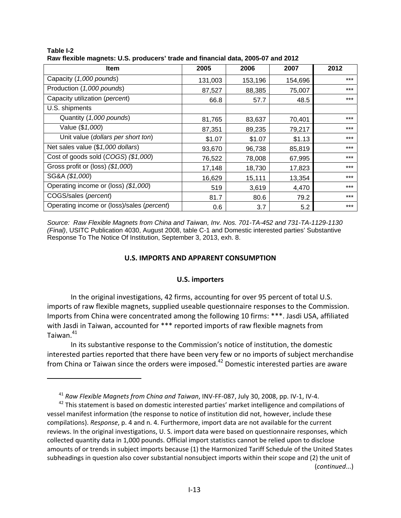| - 9                                        |         |         |         |       |  |  |  |
|--------------------------------------------|---------|---------|---------|-------|--|--|--|
| <b>Item</b>                                | 2005    | 2006    | 2007    | 2012  |  |  |  |
| Capacity (1,000 pounds)                    | 131,003 | 153,196 | 154,696 | $***$ |  |  |  |
| Production (1,000 pounds)                  | 87,527  | 88,385  | 75,007  | $***$ |  |  |  |
| Capacity utilization (percent)             | 66.8    | 57.7    | 48.5    | $***$ |  |  |  |
| U.S. shipments                             |         |         |         |       |  |  |  |
| Quantity (1,000 pounds)                    | 81,765  | 83,637  | 70,401  | $***$ |  |  |  |
| Value (\$1,000)                            | 87,351  | 89,235  | 79,217  | $***$ |  |  |  |
| Unit value (dollars per short ton)         | \$1.07  | \$1.07  | \$1.13  | $***$ |  |  |  |
| Net sales value (\$1,000 dollars)          | 93,670  | 96,738  | 85,819  | $***$ |  |  |  |
| Cost of goods sold (COGS) (\$1,000)        | 76,522  | 78,008  | 67,995  | $***$ |  |  |  |
| Gross profit or (loss) (\$1,000)           | 17,148  | 18,730  | 17,823  | $***$ |  |  |  |
| SG&A (\$1,000)                             | 16,629  | 15,111  | 13,354  | $***$ |  |  |  |
| Operating income or (loss) (\$1,000)       | 519     | 3,619   | 4,470   | $***$ |  |  |  |
| COGS/sales (percent)                       | 81.7    | 80.6    | 79.2    | $***$ |  |  |  |
| Operating income or (loss)/sales (percent) | 0.6     | 3.7     | 5.2     | $***$ |  |  |  |

**Table I-2 Raw flexible magnets: U.S. producers' trade and financial data, 2005-07 and 2012** 

*Source: Raw Flexible Magnets from China and Taiwan, Inv. Nos. 701-TA-452 and 731-TA-1129-1130 (Final)*, USITC Publication 4030, August 2008, table C-1 and Domestic interested parties' Substantive Response To The Notice Of Institution, September 3, 2013, exh. 8.

## **U.S. IMPORTS AND APPARENT CONSUMPTION**

#### **U.S. importers**

In the original investigations, 42 firms, accounting for over 95 percent of total U.S. imports of raw flexible magnets, supplied useable questionnaire responses to the Commission. Imports from China were concentrated among the following 10 firms: \*\*\*. Jasdi USA, affiliated with Jasdi in Taiwan, accounted for \*\*\* reported imports of raw flexible magnets from Taiwan. $41$ 

In its substantive response to the Commission's notice of institution, the domestic interested parties reported that there have been very few or no imports of subject merchandise from China or Taiwan since the orders were imposed.<sup>42</sup> Domestic interested parties are aware

<sup>41</sup> *Raw Flexible Magnets from China and Taiwan*, INV‐FF‐087, July 30, 2008, pp. IV‐1, IV‐4.

<sup>&</sup>lt;sup>42</sup> This statement is based on domestic interested parties' market intelligence and compilations of vessel manifest information (the response to notice of institution did not, however, include these compilations). *Response*, p. 4 and n. 4. Furthermore, import data are not available for the current reviews. In the original investigations, U. S. import data were based on questionnaire responses, which collected quantity data in 1,000 pounds. Official import statistics cannot be relied upon to disclose amounts of or trends in subject imports because (1) the Harmonized Tariff Schedule of the United States subheadings in question also cover substantial nonsubject imports within their scope and (2) the unit of (*continued*...)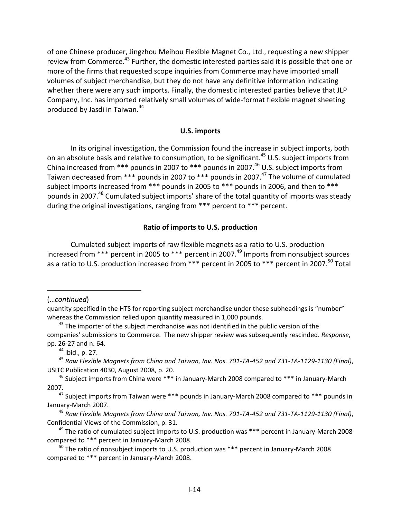of one Chinese producer, Jingzhou Meihou Flexible Magnet Co., Ltd., requesting a new shipper review from Commerce.<sup>43</sup> Further, the domestic interested parties said it is possible that one or more of the firms that requested scope inquiries from Commerce may have imported small volumes of subject merchandise, but they do not have any definitive information indicating whether there were any such imports. Finally, the domestic interested parties believe that JLP Company, Inc. has imported relatively small volumes of wide‐format flexible magnet sheeting produced by Jasdi in Taiwan.<sup>44</sup>

## **U.S. imports**

In its original investigation, the Commission found the increase in subject imports, both on an absolute basis and relative to consumption, to be significant.<sup>45</sup> U.S. subject imports from China increased from \*\*\* pounds in 2007 to \*\*\* pounds in 2007.<sup>46</sup> U.S. subject imports from Taiwan decreased from \*\*\* pounds in 2007 to \*\*\* pounds in 2007.<sup>47</sup> The volume of cumulated subject imports increased from \*\*\* pounds in 2005 to \*\*\* pounds in 2006, and then to \*\*\* pounds in 2007.<sup>48</sup> Cumulated subject imports' share of the total quantity of imports was steady during the original investigations, ranging from \*\*\* percent to \*\*\* percent.

## **Ratio of imports to U.S. production**

Cumulated subject imports of raw flexible magnets as a ratio to U.S. production increased from \*\*\* percent in 2005 to \*\*\* percent in 2007.<sup>49</sup> Imports from nonsubject sources as a ratio to U.S. production increased from \*\*\* percent in 2005 to \*\*\* percent in 2007.<sup>50</sup> Total

(…*continued*)

 $44$  Ibid., p. 27.

quantity specified in the HTS for reporting subject merchandise under these subheadings is "number" whereas the Commission relied upon quantity measured in 1,000 pounds.

 $43$  The importer of the subject merchandise was not identified in the public version of the companies' submissions to Commerce. The new shipper review was subsequently rescinded. *Response*, pp. 26‐27 and n. 64.

<sup>&</sup>lt;sup>45</sup> Raw Flexible Magnets from China and Taiwan, Inv. Nos. 701-TA-452 and 731-TA-1129-1130 (Final), USITC Publication 4030, August 2008, p. 20.

<sup>&</sup>lt;sup>46</sup> Subject imports from China were \*\*\* in January-March 2008 compared to \*\*\* in January-March 2007.

 $47$  Subject imports from Taiwan were  $***$  pounds in January-March 2008 compared to  $***$  pounds in January‐March 2007.

<sup>&</sup>lt;sup>48</sup> Raw Flexible Magnets from China and Taiwan, Inv. Nos. 701-TA-452 and 731-TA-1129-1130 (Final), Confidential Views of the Commission, p. 31.

 $49$  The ratio of cumulated subject imports to U.S. production was \*\*\* percent in January-March 2008 compared to \*\*\* percent in January‐March 2008.

<sup>50</sup> The ratio of nonsubject imports to U.S. production was \*\*\* percent in January‐March 2008 compared to \*\*\* percent in January‐March 2008.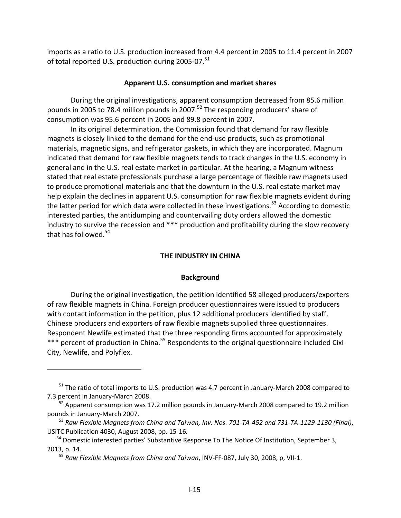imports as a ratio to U.S. production increased from 4.4 percent in 2005 to 11.4 percent in 2007 of total reported U.S. production during 2005-07.<sup>51</sup>

## **Apparent U.S. consumption and market shares**

During the original investigations, apparent consumption decreased from 85.6 million pounds in 2005 to 78.4 million pounds in 2007.<sup>52</sup> The responding producers' share of consumption was 95.6 percent in 2005 and 89.8 percent in 2007.

In its original determination, the Commission found that demand for raw flexible magnets is closely linked to the demand for the end-use products, such as promotional materials, magnetic signs, and refrigerator gaskets, in which they are incorporated. Magnum indicated that demand for raw flexible magnets tends to track changes in the U.S. economy in general and in the U.S. real estate market in particular. At the hearing, a Magnum witness stated that real estate professionals purchase a large percentage of flexible raw magnets used to produce promotional materials and that the downturn in the U.S. real estate market may help explain the declines in apparent U.S. consumption for raw flexible magnets evident during the latter period for which data were collected in these investigations.<sup>53</sup> According to domestic interested parties, the antidumping and countervailing duty orders allowed the domestic industry to survive the recession and \*\*\* production and profitability during the slow recovery that has followed. $54$ 

## **THE INDUSTRY IN CHINA**

#### **Background**

During the original investigation, the petition identified 58 alleged producers/exporters of raw flexible magnets in China. Foreign producer questionnaires were issued to producers with contact information in the petition, plus 12 additional producers identified by staff. Chinese producers and exporters of raw flexible magnets supplied three questionnaires. Respondent Newlife estimated that the three responding firms accounted for approximately \*\*\* percent of production in China.<sup>55</sup> Respondents to the original questionnaire included Cixi City, Newlife, and Polyflex.

 $51$  The ratio of total imports to U.S. production was 4.7 percent in January-March 2008 compared to 7.3 percent in January‐March 2008.

 $52$  Apparent consumption was 17.2 million pounds in January-March 2008 compared to 19.2 million pounds in January‐March 2007.

 $^{53}$  Raw Flexible Magnets from China and Taiwan, Inv. Nos. 701-TA-452 and 731-TA-1129-1130 (Final), USITC Publication 4030, August 2008, pp. 15‐16*.*

<sup>&</sup>lt;sup>54</sup> Domestic interested parties' Substantive Response To The Notice Of Institution, September 3, 2013, p. 14.

<sup>55</sup> *Raw Flexible Magnets from China and Taiwan*, INV‐FF‐087, July 30, 2008, p, VII‐1.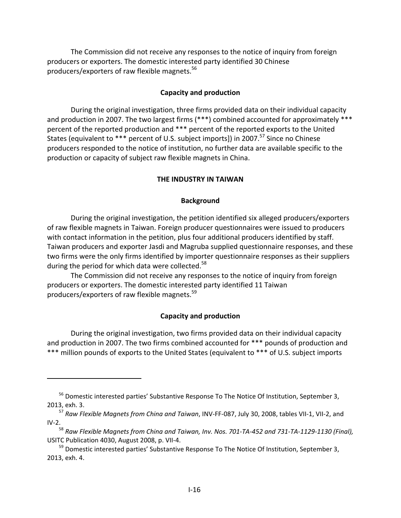The Commission did not receive any responses to the notice of inquiry from foreign producers or exporters. The domestic interested party identified 30 Chinese producers/exporters of raw flexible magnets.56

### **Capacity and production**

During the original investigation, three firms provided data on their individual capacity and production in 2007. The two largest firms (\*\*\*) combined accounted for approximately \*\*\* percent of the reported production and \*\*\* percent of the reported exports to the United States (equivalent to \*\*\* percent of U.S. subject imports]) in 2007.<sup>57</sup> Since no Chinese producers responded to the notice of institution, no further data are available specific to the production or capacity of subject raw flexible magnets in China.

#### **THE INDUSTRY IN TAIWAN**

#### **Background**

During the original investigation, the petition identified six alleged producers/exporters of raw flexible magnets in Taiwan. Foreign producer questionnaires were issued to producers with contact information in the petition, plus four additional producers identified by staff. Taiwan producers and exporter Jasdi and Magruba supplied questionnaire responses, and these two firms were the only firms identified by importer questionnaire responses as their suppliers during the period for which data were collected.<sup>58</sup>

The Commission did not receive any responses to the notice of inquiry from foreign producers or exporters. The domestic interested party identified 11 Taiwan producers/exporters of raw flexible magnets.<sup>59</sup>

## **Capacity and production**

During the original investigation, two firms provided data on their individual capacity and production in 2007. The two firms combined accounted for \*\*\* pounds of production and \*\*\* million pounds of exports to the United States (equivalent to \*\*\* of U.S. subject imports

<sup>&</sup>lt;sup>56</sup> Domestic interested parties' Substantive Response To The Notice Of Institution, September 3, 2013, exh. 3.

<sup>57</sup> *Raw Flexible Magnets from China and Taiwan*, INV‐FF‐087, July 30, 2008, tables VII‐1, VII‐2, and  $IV-2.$ 

 $^{58}$  Raw Flexible Magnets from Ching and Taiwan, Inv. Nos. 701-TA-452 and 731-TA-1129-1130 (Final), USITC Publication 4030, August 2008, p. VII‐4.

<sup>&</sup>lt;sup>59</sup> Domestic interested parties' Substantive Response To The Notice Of Institution, September 3, 2013, exh. 4.